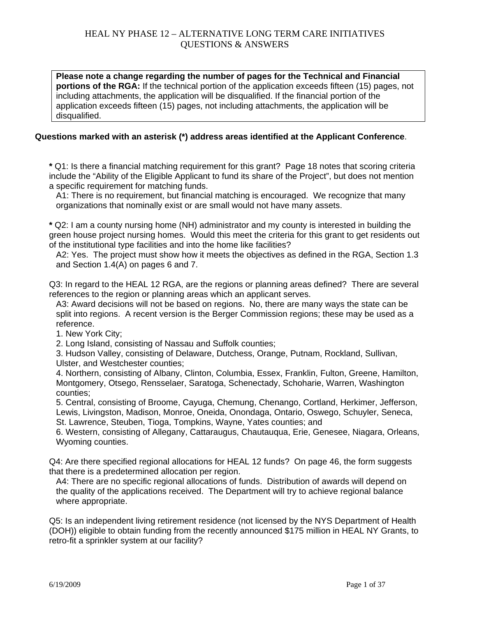**Please note a change regarding the number of pages for the Technical and Financial portions of the RGA:** If the technical portion of the application exceeds fifteen (15) pages, not including attachments, the application will be disqualified. If the financial portion of the application exceeds fifteen (15) pages, not including attachments, the application will be disqualified.

#### **Questions marked with an asterisk (\*) address areas identified at the Applicant Conference**.

**\*** Q1: Is there a financial matching requirement for this grant? Page 18 notes that scoring criteria include the "Ability of the Eligible Applicant to fund its share of the Project", but does not mention a specific requirement for matching funds.

A1: There is no requirement, but financial matching is encouraged. We recognize that many organizations that nominally exist or are small would not have many assets.

**\*** Q2: I am a county nursing home (NH) administrator and my county is interested in building the green house project nursing homes. Would this meet the criteria for this grant to get residents out of the institutional type facilities and into the home like facilities?

A2: Yes. The project must show how it meets the objectives as defined in the RGA, Section 1.3 and Section 1.4(A) on pages 6 and 7.

Q3: In regard to the HEAL 12 RGA, are the regions or planning areas defined? There are several references to the region or planning areas which an applicant serves.

A3: Award decisions will not be based on regions. No, there are many ways the state can be split into regions. A recent version is the Berger Commission regions; these may be used as a reference.

1. New York City;

2. Long Island, consisting of Nassau and Suffolk counties;

3. Hudson Valley, consisting of Delaware, Dutchess, Orange, Putnam, Rockland, Sullivan, Ulster, and Westchester counties;

4. Northern, consisting of Albany, Clinton, Columbia, Essex, Franklin, Fulton, Greene, Hamilton, Montgomery, Otsego, Rensselaer, Saratoga, Schenectady, Schoharie, Warren, Washington counties;

5. Central, consisting of Broome, Cayuga, Chemung, Chenango, Cortland, Herkimer, Jefferson, Lewis, Livingston, Madison, Monroe, Oneida, Onondaga, Ontario, Oswego, Schuyler, Seneca, St. Lawrence, Steuben, Tioga, Tompkins, Wayne, Yates counties; and

6. Western, consisting of Allegany, Cattaraugus, Chautauqua, Erie, Genesee, Niagara, Orleans, Wyoming counties.

Q4: Are there specified regional allocations for HEAL 12 funds? On page 46, the form suggests that there is a predetermined allocation per region.

A4: There are no specific regional allocations of funds. Distribution of awards will depend on the quality of the applications received. The Department will try to achieve regional balance where appropriate.

Q5: Is an independent living retirement residence (not licensed by the NYS Department of Health (DOH)) eligible to obtain funding from the recently announced \$175 million in HEAL NY Grants, to retro-fit a sprinkler system at our facility?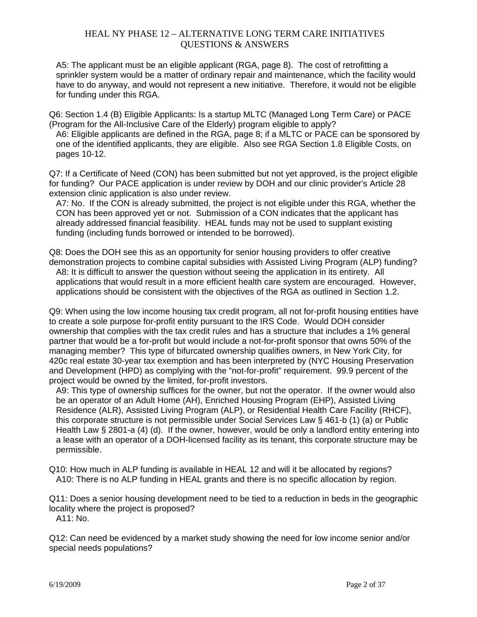A5: The applicant must be an eligible applicant (RGA, page 8). The cost of retrofitting a sprinkler system would be a matter of ordinary repair and maintenance, which the facility would have to do anyway, and would not represent a new initiative. Therefore, it would not be eligible for funding under this RGA.

Q6: Section 1.4 (B) Eligible Applicants: Is a startup MLTC (Managed Long Term Care) or PACE (Program for the All-Inclusive Care of the Elderly) program eligible to apply?

A6: Eligible applicants are defined in the RGA, page 8; if a MLTC or PACE can be sponsored by one of the identified applicants, they are eligible. Also see RGA Section 1.8 Eligible Costs, on pages 10-12.

Q7: If a Certificate of Need (CON) has been submitted but not yet approved, is the project eligible for funding? Our PACE application is under review by DOH and our clinic provider's Article 28 extension clinic application is also under review.

A7: No. If the CON is already submitted, the project is not eligible under this RGA, whether the CON has been approved yet or not. Submission of a CON indicates that the applicant has already addressed financial feasibility. HEAL funds may not be used to supplant existing funding (including funds borrowed or intended to be borrowed).

Q8: Does the DOH see this as an opportunity for senior housing providers to offer creative demonstration projects to combine capital subsidies with Assisted Living Program (ALP) funding? A8: It is difficult to answer the question without seeing the application in its entirety. All applications that would result in a more efficient health care system are encouraged. However, applications should be consistent with the objectives of the RGA as outlined in Section 1.2.

Q9: When using the low income housing tax credit program, all not for-profit housing entities have to create a sole purpose for-profit entity pursuant to the IRS Code. Would DOH consider ownership that complies with the tax credit rules and has a structure that includes a 1% general partner that would be a for-profit but would include a not-for-profit sponsor that owns 50% of the managing member? This type of bifurcated ownership qualifies owners, in New York City, for 420c real estate 30-year tax exemption and has been interpreted by (NYC Housing Preservation and Development (HPD) as complying with the "not-for-profit" requirement. 99.9 percent of the project would be owned by the limited, for-profit investors.

A9: This type of ownership suffices for the owner, but not the operator. If the owner would also be an operator of an Adult Home (AH), Enriched Housing Program (EHP), Assisted Living Residence (ALR), Assisted Living Program (ALP), or Residential Health Care Facility (RHCF), this corporate structure is not permissible under Social Services Law § 461-b (1) (a) or Public Health Law § 2801-a (4) (d). If the owner, however, would be only a landlord entity entering into a lease with an operator of a DOH-licensed facility as its tenant, this corporate structure may be permissible.

Q10: How much in ALP funding is available in HEAL 12 and will it be allocated by regions? A10: There is no ALP funding in HEAL grants and there is no specific allocation by region.

Q11: Does a senior housing development need to be tied to a reduction in beds in the geographic locality where the project is proposed? A11: No.

Q12: Can need be evidenced by a market study showing the need for low income senior and/or special needs populations?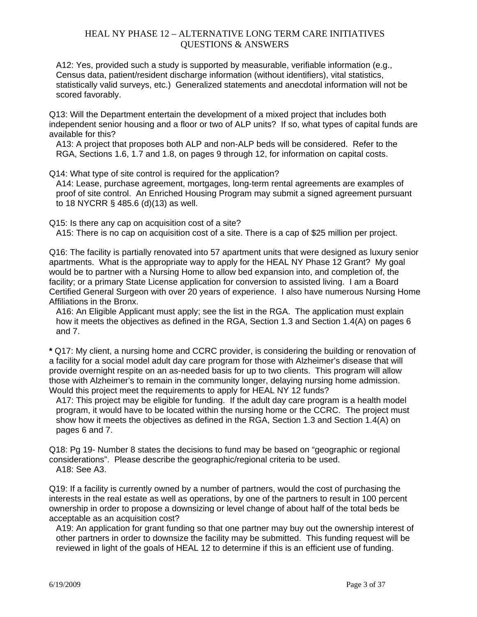A12: Yes, provided such a study is supported by measurable, verifiable information (e.g., Census data, patient/resident discharge information (without identifiers), vital statistics, statistically valid surveys, etc.) Generalized statements and anecdotal information will not be scored favorably.

Q13: Will the Department entertain the development of a mixed project that includes both independent senior housing and a floor or two of ALP units? If so, what types of capital funds are available for this?

A13: A project that proposes both ALP and non-ALP beds will be considered. Refer to the RGA, Sections 1.6, 1.7 and 1.8, on pages 9 through 12, for information on capital costs.

Q14: What type of site control is required for the application?

A14: Lease, purchase agreement, mortgages, long-term rental agreements are examples of proof of site control. An Enriched Housing Program may submit a signed agreement pursuant to 18 NYCRR § 485.6 (d)(13) as well.

Q15: Is there any cap on acquisition cost of a site? A15: There is no cap on acquisition cost of a site. There is a cap of \$25 million per project.

Q16: The facility is partially renovated into 57 apartment units that were designed as luxury senior apartments. What is the appropriate way to apply for the HEAL NY Phase 12 Grant? My goal would be to partner with a Nursing Home to allow bed expansion into, and completion of, the facility; or a primary State License application for conversion to assisted living. I am a Board Certified General Surgeon with over 20 years of experience. I also have numerous Nursing Home Affiliations in the Bronx.

A16: An Eligible Applicant must apply; see the list in the RGA. The application must explain how it meets the objectives as defined in the RGA, Section 1.3 and Section 1.4(A) on pages 6 and 7.

**\*** Q17: My client, a nursing home and CCRC provider, is considering the building or renovation of a facility for a social model adult day care program for those with Alzheimer's disease that will provide overnight respite on an as-needed basis for up to two clients. This program will allow those with Alzheimer's to remain in the community longer, delaying nursing home admission. Would this project meet the requirements to apply for HEAL NY 12 funds?

A17: This project may be eligible for funding. If the adult day care program is a health model program, it would have to be located within the nursing home or the CCRC. The project must show how it meets the objectives as defined in the RGA, Section 1.3 and Section 1.4(A) on pages 6 and 7.

Q18: Pg 19- Number 8 states the decisions to fund may be based on "geographic or regional considerations". Please describe the geographic/regional criteria to be used. A18: See A3.

Q19: If a facility is currently owned by a number of partners, would the cost of purchasing the interests in the real estate as well as operations, by one of the partners to result in 100 percent ownership in order to propose a downsizing or level change of about half of the total beds be acceptable as an acquisition cost?

A19: An application for grant funding so that one partner may buy out the ownership interest of other partners in order to downsize the facility may be submitted. This funding request will be reviewed in light of the goals of HEAL 12 to determine if this is an efficient use of funding.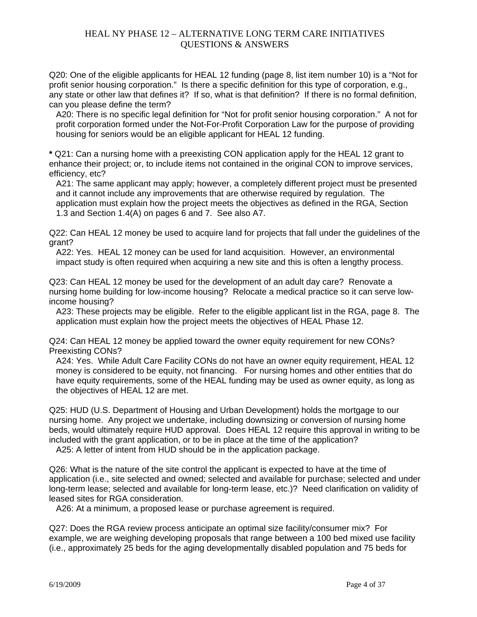Q20: One of the eligible applicants for HEAL 12 funding (page 8, list item number 10) is a "Not for profit senior housing corporation." Is there a specific definition for this type of corporation, e.g., any state or other law that defines it? If so, what is that definition? If there is no formal definition, can you please define the term?

A20: There is no specific legal definition for "Not for profit senior housing corporation." A not for profit corporation formed under the Not-For-Profit Corporation Law for the purpose of providing housing for seniors would be an eligible applicant for HEAL 12 funding.

**\*** Q21: Can a nursing home with a preexisting CON application apply for the HEAL 12 grant to enhance their project; or, to include items not contained in the original CON to improve services, efficiency, etc?

A21: The same applicant may apply; however, a completely different project must be presented and it cannot include any improvements that are otherwise required by regulation. The application must explain how the project meets the objectives as defined in the RGA, Section 1.3 and Section 1.4(A) on pages 6 and 7. See also A7.

Q22: Can HEAL 12 money be used to acquire land for projects that fall under the guidelines of the grant?

A22: Yes. HEAL 12 money can be used for land acquisition. However, an environmental impact study is often required when acquiring a new site and this is often a lengthy process.

Q23: Can HEAL 12 money be used for the development of an adult day care? Renovate a nursing home building for low-income housing? Relocate a medical practice so it can serve lowincome housing?

A23: These projects may be eligible. Refer to the eligible applicant list in the RGA, page 8. The application must explain how the project meets the objectives of HEAL Phase 12.

Q24: Can HEAL 12 money be applied toward the owner equity requirement for new CONs? Preexisting CONs?

A24: Yes. While Adult Care Facility CONs do not have an owner equity requirement, HEAL 12 money is considered to be equity, not financing. For nursing homes and other entities that do have equity requirements, some of the HEAL funding may be used as owner equity, as long as the objectives of HEAL 12 are met.

Q25: HUD (U.S. Department of Housing and Urban Development) holds the mortgage to our nursing home. Any project we undertake, including downsizing or conversion of nursing home beds, would ultimately require HUD approval. Does HEAL 12 require this approval in writing to be included with the grant application, or to be in place at the time of the application?

A25: A letter of intent from HUD should be in the application package.

Q26: What is the nature of the site control the applicant is expected to have at the time of application (i.e., site selected and owned; selected and available for purchase; selected and under long-term lease; selected and available for long-term lease, etc.)? Need clarification on validity of leased sites for RGA consideration.

A26: At a minimum, a proposed lease or purchase agreement is required.

Q27: Does the RGA review process anticipate an optimal size facility/consumer mix? For example, we are weighing developing proposals that range between a 100 bed mixed use facility (i.e., approximately 25 beds for the aging developmentally disabled population and 75 beds for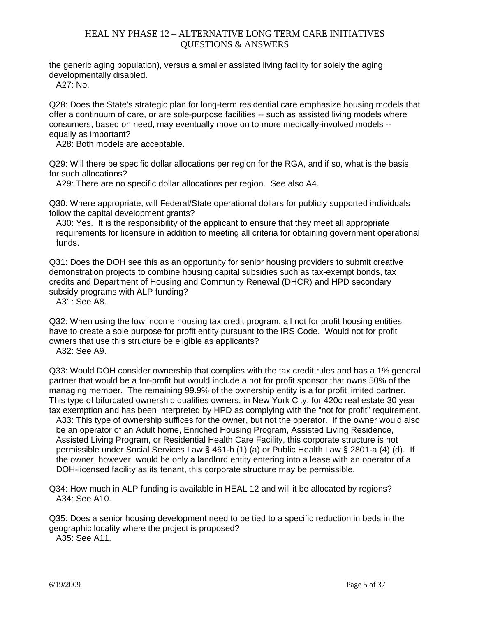the generic aging population), versus a smaller assisted living facility for solely the aging developmentally disabled.

 $A27 \cdot N_0$ 

Q28: Does the State's strategic plan for long-term residential care emphasize housing models that offer a continuum of care, or are sole-purpose facilities -- such as assisted living models where consumers, based on need, may eventually move on to more medically-involved models equally as important?

A28: Both models are acceptable.

Q29: Will there be specific dollar allocations per region for the RGA, and if so, what is the basis for such allocations?

A29: There are no specific dollar allocations per region. See also A4.

Q30: Where appropriate, will Federal/State operational dollars for publicly supported individuals follow the capital development grants?

A30: Yes. It is the responsibility of the applicant to ensure that they meet all appropriate requirements for licensure in addition to meeting all criteria for obtaining government operational funds.

Q31: Does the DOH see this as an opportunity for senior housing providers to submit creative demonstration projects to combine housing capital subsidies such as tax-exempt bonds, tax credits and Department of Housing and Community Renewal (DHCR) and HPD secondary subsidy programs with ALP funding?

A31: See A8.

Q32: When using the low income housing tax credit program, all not for profit housing entities have to create a sole purpose for profit entity pursuant to the IRS Code. Would not for profit owners that use this structure be eligible as applicants?

A32: See A9.

Q33: Would DOH consider ownership that complies with the tax credit rules and has a 1% general partner that would be a for-profit but would include a not for profit sponsor that owns 50% of the managing member. The remaining 99.9% of the ownership entity is a for profit limited partner. This type of bifurcated ownership qualifies owners, in New York City, for 420c real estate 30 year tax exemption and has been interpreted by HPD as complying with the "not for profit" requirement. A33: This type of ownership suffices for the owner, but not the operator. If the owner would also be an operator of an Adult home, Enriched Housing Program, Assisted Living Residence, Assisted Living Program, or Residential Health Care Facility, this corporate structure is not

permissible under Social Services Law § 461-b (1) (a) or Public Health Law § 2801-a (4) (d). If the owner, however, would be only a landlord entity entering into a lease with an operator of a DOH-licensed facility as its tenant, this corporate structure may be permissible.

Q34: How much in ALP funding is available in HEAL 12 and will it be allocated by regions? A34: See A10.

Q35: Does a senior housing development need to be tied to a specific reduction in beds in the geographic locality where the project is proposed?

A35: See A11.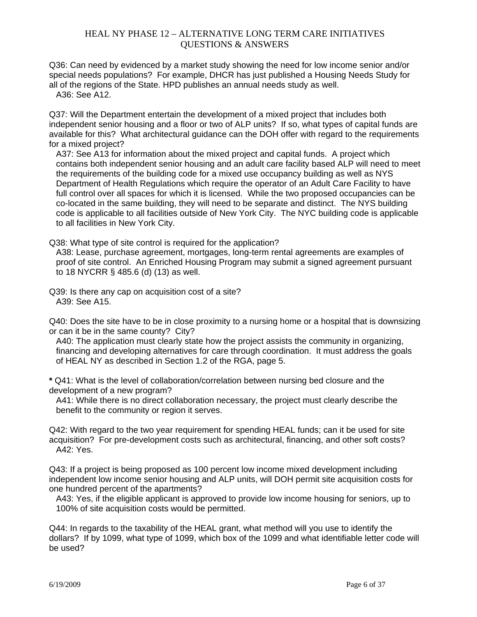Q36: Can need by evidenced by a market study showing the need for low income senior and/or special needs populations? For example, DHCR has just published a Housing Needs Study for all of the regions of the State. HPD publishes an annual needs study as well.

A36: See A12.

Q37: Will the Department entertain the development of a mixed project that includes both independent senior housing and a floor or two of ALP units? If so, what types of capital funds are available for this? What architectural guidance can the DOH offer with regard to the requirements for a mixed project?

A37: See A13 for information about the mixed project and capital funds. A project which contains both independent senior housing and an adult care facility based ALP will need to meet the requirements of the building code for a mixed use occupancy building as well as NYS Department of Health Regulations which require the operator of an Adult Care Facility to have full control over all spaces for which it is licensed. While the two proposed occupancies can be co-located in the same building, they will need to be separate and distinct. The NYS building code is applicable to all facilities outside of New York City. The NYC building code is applicable to all facilities in New York City.

Q38: What type of site control is required for the application?

A38: Lease, purchase agreement, mortgages, long-term rental agreements are examples of proof of site control. An Enriched Housing Program may submit a signed agreement pursuant to 18 NYCRR § 485.6 (d) (13) as well.

Q39: Is there any cap on acquisition cost of a site? A39: See A15.

Q40: Does the site have to be in close proximity to a nursing home or a hospital that is downsizing or can it be in the same county? City?

A40: The application must clearly state how the project assists the community in organizing, financing and developing alternatives for care through coordination. It must address the goals of HEAL NY as described in Section 1.2 of the RGA, page 5.

**\*** Q41: What is the level of collaboration/correlation between nursing bed closure and the development of a new program?

A41: While there is no direct collaboration necessary, the project must clearly describe the benefit to the community or region it serves.

Q42: With regard to the two year requirement for spending HEAL funds; can it be used for site acquisition? For pre-development costs such as architectural, financing, and other soft costs? A42: Yes.

Q43: If a project is being proposed as 100 percent low income mixed development including independent low income senior housing and ALP units, will DOH permit site acquisition costs for one hundred percent of the apartments?

A43: Yes, if the eligible applicant is approved to provide low income housing for seniors, up to 100% of site acquisition costs would be permitted.

Q44: In regards to the taxability of the HEAL grant, what method will you use to identify the dollars? If by 1099, what type of 1099, which box of the 1099 and what identifiable letter code will be used?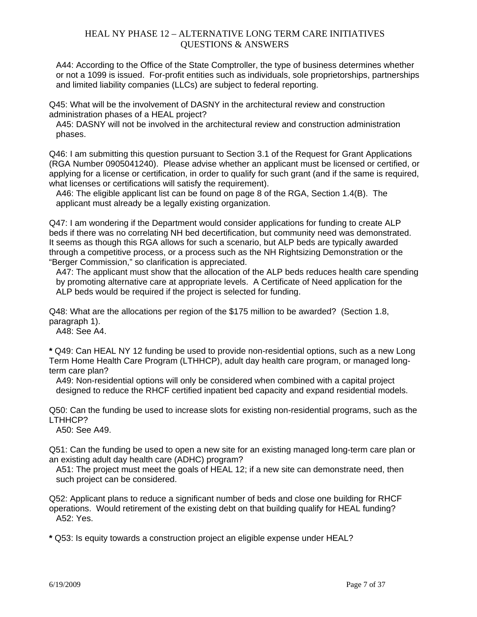A44: According to the Office of the State Comptroller, the type of business determines whether or not a 1099 is issued. For-profit entities such as individuals, sole proprietorships, partnerships and limited liability companies (LLCs) are subject to federal reporting.

Q45: What will be the involvement of DASNY in the architectural review and construction administration phases of a HEAL project?

A45: DASNY will not be involved in the architectural review and construction administration phases.

Q46: I am submitting this question pursuant to Section 3.1 of the Request for Grant Applications (RGA Number 0905041240). Please advise whether an applicant must be licensed or certified, or applying for a license or certification, in order to qualify for such grant (and if the same is required, what licenses or certifications will satisfy the requirement).

A46: The eligible applicant list can be found on page 8 of the RGA, Section 1.4(B). The applicant must already be a legally existing organization.

Q47: I am wondering if the Department would consider applications for funding to create ALP beds if there was no correlating NH bed decertification, but community need was demonstrated. It seems as though this RGA allows for such a scenario, but ALP beds are typically awarded through a competitive process, or a process such as the NH Rightsizing Demonstration or the "Berger Commission," so clarification is appreciated.

A47: The applicant must show that the allocation of the ALP beds reduces health care spending by promoting alternative care at appropriate levels. A Certificate of Need application for the ALP beds would be required if the project is selected for funding.

Q48: What are the allocations per region of the \$175 million to be awarded? (Section 1.8, paragraph 1).

A48: See A4.

**\*** Q49: Can HEAL NY 12 funding be used to provide non-residential options, such as a new Long Term Home Health Care Program (LTHHCP), adult day health care program, or managed longterm care plan?

A49: Non-residential options will only be considered when combined with a capital project designed to reduce the RHCF certified inpatient bed capacity and expand residential models.

Q50: Can the funding be used to increase slots for existing non-residential programs, such as the LTHHCP?

A50: See A49.

Q51: Can the funding be used to open a new site for an existing managed long-term care plan or an existing adult day health care (ADHC) program?

A51: The project must meet the goals of HEAL 12; if a new site can demonstrate need, then such project can be considered.

Q52: Applicant plans to reduce a significant number of beds and close one building for RHCF operations. Would retirement of the existing debt on that building qualify for HEAL funding? A52: Yes.

**\*** Q53: Is equity towards a construction project an eligible expense under HEAL?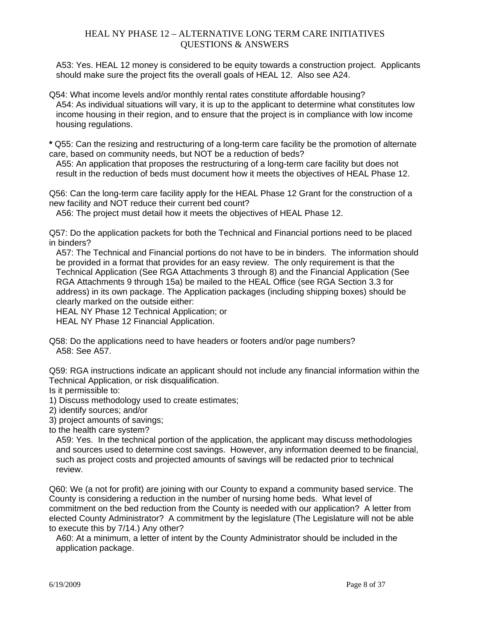A53: Yes. HEAL 12 money is considered to be equity towards a construction project. Applicants should make sure the project fits the overall goals of HEAL 12. Also see A24.

Q54: What income levels and/or monthly rental rates constitute affordable housing? A54: As individual situations will vary, it is up to the applicant to determine what constitutes low income housing in their region, and to ensure that the project is in compliance with low income housing regulations.

**\*** Q55: Can the resizing and restructuring of a long-term care facility be the promotion of alternate care, based on community needs, but NOT be a reduction of beds?

A55: An application that proposes the restructuring of a long-term care facility but does not result in the reduction of beds must document how it meets the objectives of HEAL Phase 12.

Q56: Can the long-term care facility apply for the HEAL Phase 12 Grant for the construction of a new facility and NOT reduce their current bed count?

A56: The project must detail how it meets the objectives of HEAL Phase 12.

Q57: Do the application packets for both the Technical and Financial portions need to be placed in binders?

A57: The Technical and Financial portions do not have to be in binders. The information should be provided in a format that provides for an easy review. The only requirement is that the Technical Application (See RGA Attachments 3 through 8) and the Financial Application (See RGA Attachments 9 through 15a) be mailed to the HEAL Office (see RGA Section 3.3 for address) in its own package. The Application packages (including shipping boxes) should be clearly marked on the outside either:

HEAL NY Phase 12 Technical Application; or

HEAL NY Phase 12 Financial Application.

Q58: Do the applications need to have headers or footers and/or page numbers? A58: See A57.

Q59: RGA instructions indicate an applicant should not include any financial information within the Technical Application, or risk disqualification.

Is it permissible to:

- 1) Discuss methodology used to create estimates;
- 2) identify sources; and/or

3) project amounts of savings;

to the health care system?

A59: Yes. In the technical portion of the application, the applicant may discuss methodologies and sources used to determine cost savings. However, any information deemed to be financial, such as project costs and projected amounts of savings will be redacted prior to technical review.

Q60: We (a not for profit) are joining with our County to expand a community based service. The County is considering a reduction in the number of nursing home beds. What level of commitment on the bed reduction from the County is needed with our application? A letter from elected County Administrator? A commitment by the legislature (The Legislature will not be able to execute this by 7/14.) Any other?

A60: At a minimum, a letter of intent by the County Administrator should be included in the application package.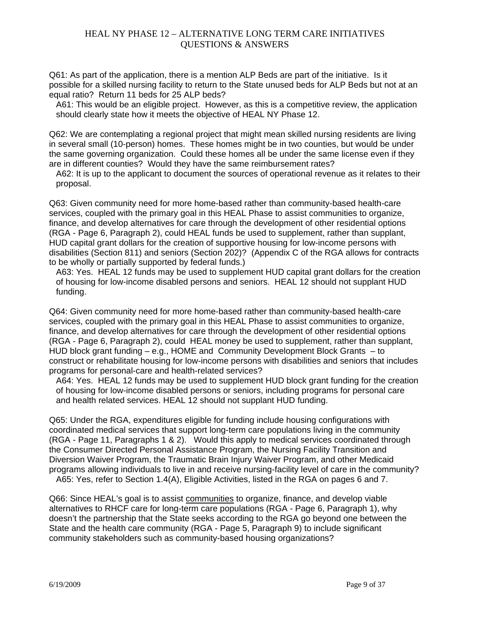Q61: As part of the application, there is a mention ALP Beds are part of the initiative. Is it possible for a skilled nursing facility to return to the State unused beds for ALP Beds but not at an equal ratio? Return 11 beds for 25 ALP beds?

A61: This would be an eligible project. However, as this is a competitive review, the application should clearly state how it meets the objective of HEAL NY Phase 12.

Q62: We are contemplating a regional project that might mean skilled nursing residents are living in several small (10-person) homes. These homes might be in two counties, but would be under the same governing organization. Could these homes all be under the same license even if they are in different counties? Would they have the same reimbursement rates?

A62: It is up to the applicant to document the sources of operational revenue as it relates to their proposal.

Q63: Given community need for more home-based rather than community-based health-care services, coupled with the primary goal in this HEAL Phase to assist communities to organize, finance, and develop alternatives for care through the development of other residential options (RGA - Page 6, Paragraph 2), could HEAL funds be used to supplement, rather than supplant, HUD capital grant dollars for the creation of supportive housing for low-income persons with disabilities (Section 811) and seniors (Section 202)? (Appendix C of the RGA allows for contracts to be wholly or partially supported by federal funds.)

A63: Yes. HEAL 12 funds may be used to supplement HUD capital grant dollars for the creation of housing for low-income disabled persons and seniors. HEAL 12 should not supplant HUD funding.

Q64: Given community need for more home-based rather than community-based health-care services, coupled with the primary goal in this HEAL Phase to assist communities to organize, finance, and develop alternatives for care through the development of other residential options (RGA - Page 6, Paragraph 2), could HEAL money be used to supplement, rather than supplant, HUD block grant funding – e.g., HOME and Community Development Block Grants – to construct or rehabilitate housing for low-income persons with disabilities and seniors that includes programs for personal-care and health-related services?

A64: Yes. HEAL 12 funds may be used to supplement HUD block grant funding for the creation of housing for low-income disabled persons or seniors, including programs for personal care and health related services. HEAL 12 should not supplant HUD funding.

Q65: Under the RGA, expenditures eligible for funding include housing configurations with coordinated medical services that support long-term care populations living in the community (RGA - Page 11, Paragraphs 1 & 2). Would this apply to medical services coordinated through the Consumer Directed Personal Assistance Program, the Nursing Facility Transition and Diversion Waiver Program, the Traumatic Brain Injury Waiver Program, and other Medicaid programs allowing individuals to live in and receive nursing-facility level of care in the community? A65: Yes, refer to Section 1.4(A), Eligible Activities, listed in the RGA on pages 6 and 7.

Q66: Since HEAL's goal is to assist communities to organize, finance, and develop viable alternatives to RHCF care for long-term care populations (RGA - Page 6, Paragraph 1), why doesn't the partnership that the State seeks according to the RGA go beyond one between the State and the health care community (RGA - Page 5, Paragraph 9) to include significant community stakeholders such as community-based housing organizations?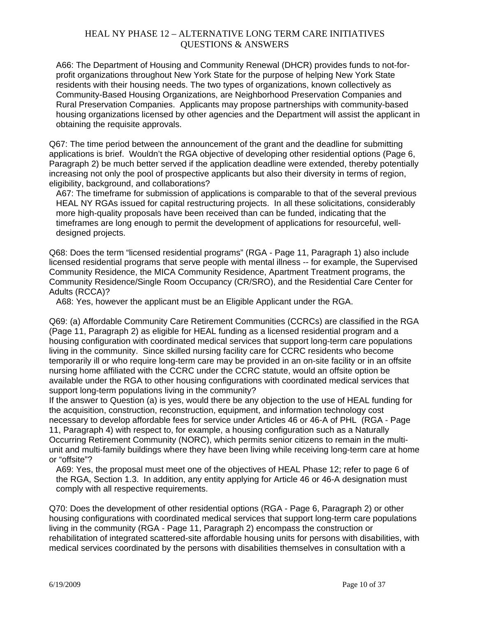A66: The Department of Housing and Community Renewal (DHCR) provides funds to not-forprofit organizations throughout New York State for the purpose of helping New York State residents with their housing needs. The two types of organizations, known collectively as Community-Based Housing Organizations, are Neighborhood Preservation Companies and Rural Preservation Companies. Applicants may propose partnerships with community-based housing organizations licensed by other agencies and the Department will assist the applicant in obtaining the requisite approvals.

Q67: The time period between the announcement of the grant and the deadline for submitting applications is brief. Wouldn't the RGA objective of developing other residential options (Page 6, Paragraph 2) be much better served if the application deadline were extended, thereby potentially increasing not only the pool of prospective applicants but also their diversity in terms of region, eligibility, background, and collaborations?

A67: The timeframe for submission of applications is comparable to that of the several previous HEAL NY RGAs issued for capital restructuring projects. In all these solicitations, considerably more high-quality proposals have been received than can be funded, indicating that the timeframes are long enough to permit the development of applications for resourceful, welldesigned projects.

Q68: Does the term "licensed residential programs" (RGA - Page 11, Paragraph 1) also include licensed residential programs that serve people with mental illness -- for example, the Supervised Community Residence, the MICA Community Residence, Apartment Treatment programs, the Community Residence/Single Room Occupancy (CR/SRO), and the Residential Care Center for Adults (RCCA)?

A68: Yes, however the applicant must be an Eligible Applicant under the RGA.

Q69: (a) Affordable Community Care Retirement Communities (CCRCs) are classified in the RGA (Page 11, Paragraph 2) as eligible for HEAL funding as a licensed residential program and a housing configuration with coordinated medical services that support long-term care populations living in the community. Since skilled nursing facility care for CCRC residents who become temporarily ill or who require long-term care may be provided in an on-site facility or in an offsite nursing home affiliated with the CCRC under the CCRC statute, would an offsite option be available under the RGA to other housing configurations with coordinated medical services that support long-term populations living in the community?

If the answer to Question (a) is yes, would there be any objection to the use of HEAL funding for the acquisition, construction, reconstruction, equipment, and information technology cost necessary to develop affordable fees for service under Articles 46 or 46-A of PHL (RGA - Page 11, Paragraph 4) with respect to, for example, a housing configuration such as a Naturally Occurring Retirement Community (NORC), which permits senior citizens to remain in the multiunit and multi-family buildings where they have been living while receiving long-term care at home or "offsite"?

A69: Yes, the proposal must meet one of the objectives of HEAL Phase 12; refer to page 6 of the RGA, Section 1.3. In addition, any entity applying for Article 46 or 46-A designation must comply with all respective requirements.

Q70: Does the development of other residential options (RGA - Page 6, Paragraph 2) or other housing configurations with coordinated medical services that support long-term care populations living in the community (RGA - Page 11, Paragraph 2) encompass the construction or rehabilitation of integrated scattered-site affordable housing units for persons with disabilities, with medical services coordinated by the persons with disabilities themselves in consultation with a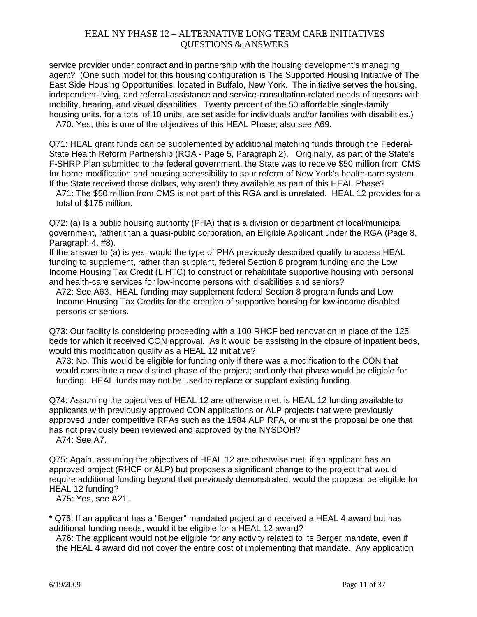service provider under contract and in partnership with the housing development's managing agent? (One such model for this housing configuration is The Supported Housing Initiative of The East Side Housing Opportunities, located in Buffalo, New York. The initiative serves the housing, independent-living, and referral-assistance and service-consultation-related needs of persons with mobility, hearing, and visual disabilities. Twenty percent of the 50 affordable single-family housing units, for a total of 10 units, are set aside for individuals and/or families with disabilities.) A70: Yes, this is one of the objectives of this HEAL Phase; also see A69.

Q71: HEAL grant funds can be supplemented by additional matching funds through the Federal-State Health Reform Partnership (RGA - Page 5, Paragraph 2). Originally, as part of the State's F-SHRP Plan submitted to the federal government, the State was to receive \$50 million from CMS for home modification and housing accessibility to spur reform of New York's health-care system. If the State received those dollars, why aren't they available as part of this HEAL Phase?

A71: The \$50 million from CMS is not part of this RGA and is unrelated. HEAL 12 provides for a total of \$175 million.

Q72: (a) Is a public housing authority (PHA) that is a division or department of local/municipal government, rather than a quasi-public corporation, an Eligible Applicant under the RGA (Page 8, Paragraph 4, #8).

If the answer to (a) is yes, would the type of PHA previously described qualify to access HEAL funding to supplement, rather than supplant, federal Section 8 program funding and the Low Income Housing Tax Credit (LIHTC) to construct or rehabilitate supportive housing with personal and health-care services for low-income persons with disabilities and seniors?

A72: See A63. HEAL funding may supplement federal Section 8 program funds and Low Income Housing Tax Credits for the creation of supportive housing for low-income disabled persons or seniors.

Q73: Our facility is considering proceeding with a 100 RHCF bed renovation in place of the 125 beds for which it received CON approval. As it would be assisting in the closure of inpatient beds, would this modification qualify as a HEAL 12 initiative?

A73: No. This would be eligible for funding only if there was a modification to the CON that would constitute a new distinct phase of the project; and only that phase would be eligible for funding. HEAL funds may not be used to replace or supplant existing funding.

Q74: Assuming the objectives of HEAL 12 are otherwise met, is HEAL 12 funding available to applicants with previously approved CON applications or ALP projects that were previously approved under competitive RFAs such as the 1584 ALP RFA, or must the proposal be one that has not previously been reviewed and approved by the NYSDOH? A74: See A7.

Q75: Again, assuming the objectives of HEAL 12 are otherwise met, if an applicant has an approved project (RHCF or ALP) but proposes a significant change to the project that would require additional funding beyond that previously demonstrated, would the proposal be eligible for HEAL 12 funding?

A75: Yes, see A21.

**\*** Q76: If an applicant has a "Berger" mandated project and received a HEAL 4 award but has additional funding needs, would it be eligible for a HEAL 12 award?

A76: The applicant would not be eligible for any activity related to its Berger mandate, even if the HEAL 4 award did not cover the entire cost of implementing that mandate. Any application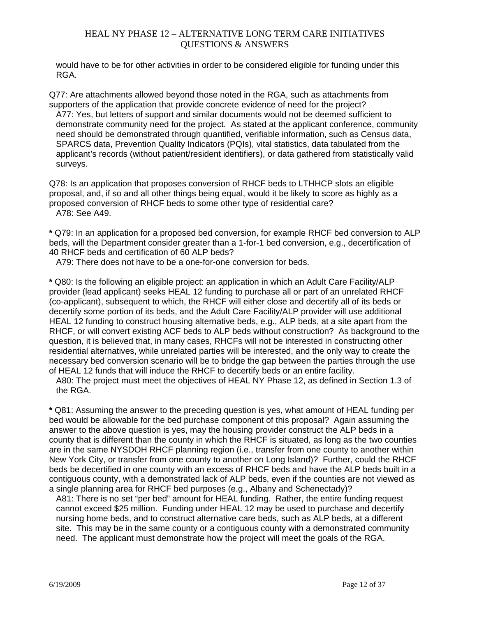would have to be for other activities in order to be considered eligible for funding under this RGA.

Q77: Are attachments allowed beyond those noted in the RGA, such as attachments from supporters of the application that provide concrete evidence of need for the project? A77: Yes, but letters of support and similar documents would not be deemed sufficient to demonstrate community need for the project. As stated at the applicant conference, community need should be demonstrated through quantified, verifiable information, such as Census data, SPARCS data, Prevention Quality Indicators (PQIs), vital statistics, data tabulated from the applicant's records (without patient/resident identifiers), or data gathered from statistically valid surveys.

Q78: Is an application that proposes conversion of RHCF beds to LTHHCP slots an eligible proposal, and, if so and all other things being equal, would it be likely to score as highly as a proposed conversion of RHCF beds to some other type of residential care? A78: See A49.

**\*** Q79: In an application for a proposed bed conversion, for example RHCF bed conversion to ALP beds, will the Department consider greater than a 1-for-1 bed conversion, e.g., decertification of 40 RHCF beds and certification of 60 ALP beds?

A79: There does not have to be a one-for-one conversion for beds.

**\*** Q80: Is the following an eligible project: an application in which an Adult Care Facility/ALP provider (lead applicant) seeks HEAL 12 funding to purchase all or part of an unrelated RHCF (co-applicant), subsequent to which, the RHCF will either close and decertify all of its beds or decertify some portion of its beds, and the Adult Care Facility/ALP provider will use additional HEAL 12 funding to construct housing alternative beds, e.g., ALP beds, at a site apart from the RHCF, or will convert existing ACF beds to ALP beds without construction? As background to the question, it is believed that, in many cases, RHCFs will not be interested in constructing other residential alternatives, while unrelated parties will be interested, and the only way to create the necessary bed conversion scenario will be to bridge the gap between the parties through the use of HEAL 12 funds that will induce the RHCF to decertify beds or an entire facility.

A80: The project must meet the objectives of HEAL NY Phase 12, as defined in Section 1.3 of the RGA.

**\*** Q81: Assuming the answer to the preceding question is yes, what amount of HEAL funding per bed would be allowable for the bed purchase component of this proposal? Again assuming the answer to the above question is yes, may the housing provider construct the ALP beds in a county that is different than the county in which the RHCF is situated, as long as the two counties are in the same NYSDOH RHCF planning region (i.e., transfer from one county to another within New York City, or transfer from one county to another on Long Island)? Further, could the RHCF beds be decertified in one county with an excess of RHCF beds and have the ALP beds built in a contiguous county, with a demonstrated lack of ALP beds, even if the counties are not viewed as a single planning area for RHCF bed purposes (e.g., Albany and Schenectady)?

A81: There is no set "per bed" amount for HEAL funding. Rather, the entire funding request cannot exceed \$25 million. Funding under HEAL 12 may be used to purchase and decertify nursing home beds, and to construct alternative care beds, such as ALP beds, at a different site. This may be in the same county or a contiguous county with a demonstrated community need. The applicant must demonstrate how the project will meet the goals of the RGA.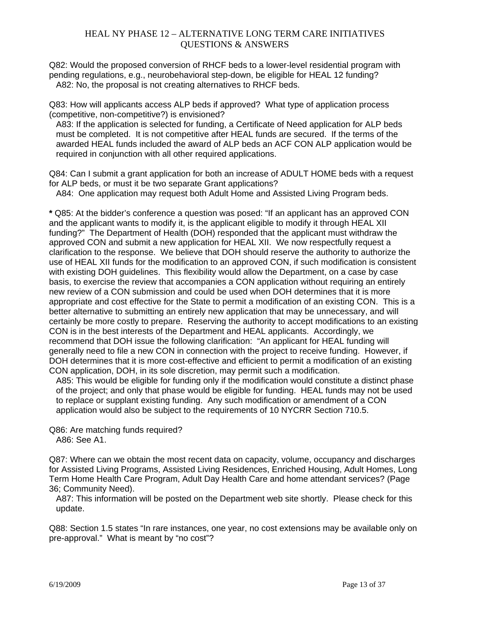Q82: Would the proposed conversion of RHCF beds to a lower-level residential program with pending regulations, e.g., neurobehavioral step-down, be eligible for HEAL 12 funding? A82: No, the proposal is not creating alternatives to RHCF beds.

Q83: How will applicants access ALP beds if approved? What type of application process (competitive, non-competitive?) is envisioned?

A83: If the application is selected for funding, a Certificate of Need application for ALP beds must be completed. It is not competitive after HEAL funds are secured. If the terms of the awarded HEAL funds included the award of ALP beds an ACF CON ALP application would be required in conjunction with all other required applications.

Q84: Can I submit a grant application for both an increase of ADULT HOME beds with a request for ALP beds, or must it be two separate Grant applications?

A84: One application may request both Adult Home and Assisted Living Program beds.

**\*** Q85: At the bidder's conference a question was posed: "If an applicant has an approved CON and the applicant wants to modify it, is the applicant eligible to modify it through HEAL XII funding?" The Department of Health (DOH) responded that the applicant must withdraw the approved CON and submit a new application for HEAL XII. We now respectfully request a clarification to the response. We believe that DOH should reserve the authority to authorize the use of HEAL XII funds for the modification to an approved CON, if such modification is consistent with existing DOH guidelines. This flexibility would allow the Department, on a case by case basis, to exercise the review that accompanies a CON application without requiring an entirely new review of a CON submission and could be used when DOH determines that it is more appropriate and cost effective for the State to permit a modification of an existing CON. This is a better alternative to submitting an entirely new application that may be unnecessary, and will certainly be more costly to prepare. Reserving the authority to accept modifications to an existing CON is in the best interests of the Department and HEAL applicants. Accordingly, we recommend that DOH issue the following clarification: "An applicant for HEAL funding will generally need to file a new CON in connection with the project to receive funding. However, if DOH determines that it is more cost-effective and efficient to permit a modification of an existing CON application, DOH, in its sole discretion, may permit such a modification.

A85: This would be eligible for funding only if the modification would constitute a distinct phase of the project; and only that phase would be eligible for funding. HEAL funds may not be used to replace or supplant existing funding. Any such modification or amendment of a CON application would also be subject to the requirements of 10 NYCRR Section 710.5.

Q86: Are matching funds required? A86: See A1.

Q87: Where can we obtain the most recent data on capacity, volume, occupancy and discharges for Assisted Living Programs, Assisted Living Residences, Enriched Housing, Adult Homes, Long Term Home Health Care Program, Adult Day Health Care and home attendant services? (Page 36; Community Need).

A87: This information will be posted on the Department web site shortly. Please check for this update.

Q88: Section 1.5 states "In rare instances, one year, no cost extensions may be available only on pre-approval." What is meant by "no cost"?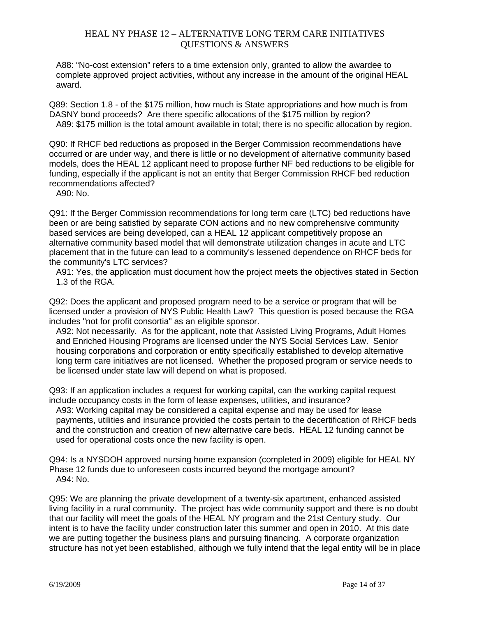A88: "No-cost extension" refers to a time extension only, granted to allow the awardee to complete approved project activities, without any increase in the amount of the original HEAL award.

Q89: Section 1.8 - of the \$175 million, how much is State appropriations and how much is from DASNY bond proceeds? Are there specific allocations of the \$175 million by region? A89: \$175 million is the total amount available in total; there is no specific allocation by region.

Q90: If RHCF bed reductions as proposed in the Berger Commission recommendations have occurred or are under way, and there is little or no development of alternative community based models, does the HEAL 12 applicant need to propose further NF bed reductions to be eligible for funding, especially if the applicant is not an entity that Berger Commission RHCF bed reduction recommendations affected?

A90: No.

Q91: If the Berger Commission recommendations for long term care (LTC) bed reductions have been or are being satisfied by separate CON actions and no new comprehensive community based services are being developed, can a HEAL 12 applicant competitively propose an alternative community based model that will demonstrate utilization changes in acute and LTC placement that in the future can lead to a community's lessened dependence on RHCF beds for the community's LTC services?

A91: Yes, the application must document how the project meets the objectives stated in Section 1.3 of the RGA.

Q92: Does the applicant and proposed program need to be a service or program that will be licensed under a provision of NYS Public Health Law? This question is posed because the RGA includes "not for profit consortia" as an eligible sponsor.

A92: Not necessarily. As for the applicant, note that Assisted Living Programs, Adult Homes and Enriched Housing Programs are licensed under the NYS Social Services Law. Senior housing corporations and corporation or entity specifically established to develop alternative long term care initiatives are not licensed. Whether the proposed program or service needs to be licensed under state law will depend on what is proposed.

Q93: If an application includes a request for working capital, can the working capital request include occupancy costs in the form of lease expenses, utilities, and insurance?

A93: Working capital may be considered a capital expense and may be used for lease payments, utilities and insurance provided the costs pertain to the decertification of RHCF beds and the construction and creation of new alternative care beds. HEAL 12 funding cannot be used for operational costs once the new facility is open.

Q94: Is a NYSDOH approved nursing home expansion (completed in 2009) eligible for HEAL NY Phase 12 funds due to unforeseen costs incurred beyond the mortgage amount? A94: No.

Q95: We are planning the private development of a twenty-six apartment, enhanced assisted living facility in a rural community. The project has wide community support and there is no doubt that our facility will meet the goals of the HEAL NY program and the 21st Century study. Our intent is to have the facility under construction later this summer and open in 2010. At this date we are putting together the business plans and pursuing financing. A corporate organization structure has not yet been established, although we fully intend that the legal entity will be in place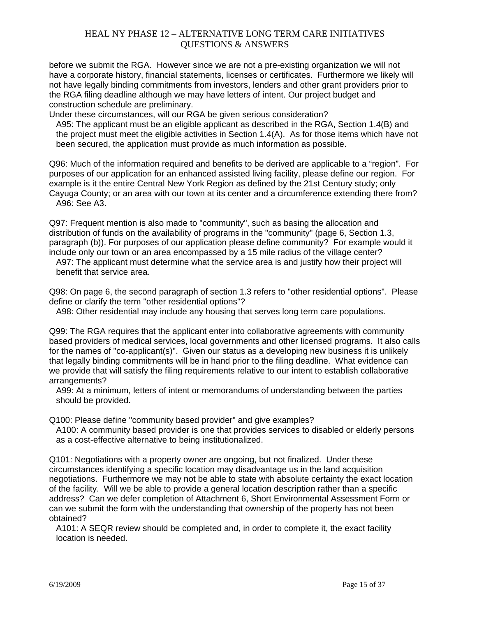before we submit the RGA. However since we are not a pre-existing organization we will not have a corporate history, financial statements, licenses or certificates. Furthermore we likely will not have legally binding commitments from investors, lenders and other grant providers prior to the RGA filing deadline although we may have letters of intent. Our project budget and construction schedule are preliminary.

Under these circumstances, will our RGA be given serious consideration?

A95: The applicant must be an eligible applicant as described in the RGA, Section 1.4(B) and the project must meet the eligible activities in Section 1.4(A). As for those items which have not been secured, the application must provide as much information as possible.

Q96: Much of the information required and benefits to be derived are applicable to a "region". For purposes of our application for an enhanced assisted living facility, please define our region. For example is it the entire Central New York Region as defined by the 21st Century study; only Cayuga County; or an area with our town at its center and a circumference extending there from? A96: See A3.

Q97: Frequent mention is also made to "community", such as basing the allocation and distribution of funds on the availability of programs in the "community" (page 6, Section 1.3, paragraph (b)). For purposes of our application please define community? For example would it include only our town or an area encompassed by a 15 mile radius of the village center? A97: The applicant must determine what the service area is and justify how their project will benefit that service area.

Q98: On page 6, the second paragraph of section 1.3 refers to "other residential options". Please define or clarify the term "other residential options"?

A98: Other residential may include any housing that serves long term care populations.

Q99: The RGA requires that the applicant enter into collaborative agreements with community based providers of medical services, local governments and other licensed programs. It also calls for the names of "co-applicant(s)". Given our status as a developing new business it is unlikely that legally binding commitments will be in hand prior to the filing deadline. What evidence can we provide that will satisfy the filing requirements relative to our intent to establish collaborative arrangements?

A99: At a minimum, letters of intent or memorandums of understanding between the parties should be provided.

Q100: Please define "community based provider" and give examples?

A100: A community based provider is one that provides services to disabled or elderly persons as a cost-effective alternative to being institutionalized.

Q101: Negotiations with a property owner are ongoing, but not finalized. Under these circumstances identifying a specific location may disadvantage us in the land acquisition negotiations. Furthermore we may not be able to state with absolute certainty the exact location of the facility. Will we be able to provide a general location description rather than a specific address? Can we defer completion of Attachment 6, Short Environmental Assessment Form or can we submit the form with the understanding that ownership of the property has not been obtained?

A101: A SEQR review should be completed and, in order to complete it, the exact facility location is needed.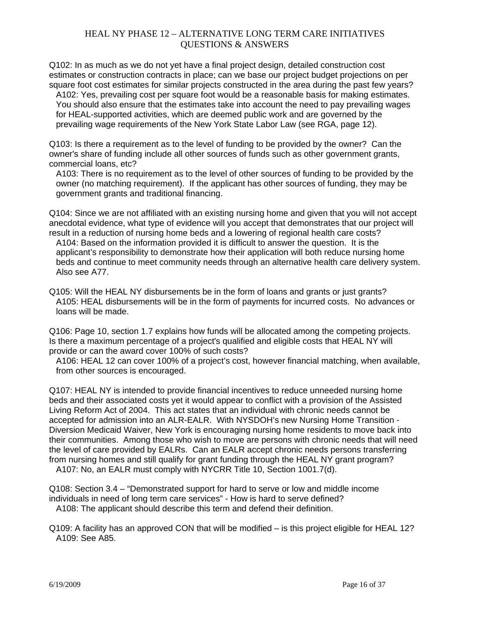Q102: In as much as we do not yet have a final project design, detailed construction cost estimates or construction contracts in place; can we base our project budget projections on per square foot cost estimates for similar projects constructed in the area during the past few years?

A102: Yes, prevailing cost per square foot would be a reasonable basis for making estimates. You should also ensure that the estimates take into account the need to pay prevailing wages for HEAL-supported activities, which are deemed public work and are governed by the prevailing wage requirements of the New York State Labor Law (see RGA, page 12).

Q103: Is there a requirement as to the level of funding to be provided by the owner? Can the owner's share of funding include all other sources of funds such as other government grants, commercial loans, etc?

A103: There is no requirement as to the level of other sources of funding to be provided by the owner (no matching requirement). If the applicant has other sources of funding, they may be government grants and traditional financing.

Q104: Since we are not affiliated with an existing nursing home and given that you will not accept anecdotal evidence, what type of evidence will you accept that demonstrates that our project will result in a reduction of nursing home beds and a lowering of regional health care costs?

A104: Based on the information provided it is difficult to answer the question. It is the applicant's responsibility to demonstrate how their application will both reduce nursing home beds and continue to meet community needs through an alternative health care delivery system. Also see A77.

Q105: Will the HEAL NY disbursements be in the form of loans and grants or just grants? A105: HEAL disbursements will be in the form of payments for incurred costs. No advances or loans will be made.

Q106: Page 10, section 1.7 explains how funds will be allocated among the competing projects. Is there a maximum percentage of a project's qualified and eligible costs that HEAL NY will provide or can the award cover 100% of such costs?

A106: HEAL 12 can cover 100% of a project's cost, however financial matching, when available, from other sources is encouraged.

Q107: HEAL NY is intended to provide financial incentives to reduce unneeded nursing home beds and their associated costs yet it would appear to conflict with a provision of the Assisted Living Reform Act of 2004. This act states that an individual with chronic needs cannot be accepted for admission into an ALR-EALR. With NYSDOH's new Nursing Home Transition Diversion Medicaid Waiver, New York is encouraging nursing home residents to move back into their communities. Among those who wish to move are persons with chronic needs that will need the level of care provided by EALRs. Can an EALR accept chronic needs persons transferring from nursing homes and still qualify for grant funding through the HEAL NY grant program? A107: No, an EALR must comply with NYCRR Title 10, Section 1001.7(d).

Q108: Section 3.4 – "Demonstrated support for hard to serve or low and middle income individuals in need of long term care services" - How is hard to serve defined? A108: The applicant should describe this term and defend their definition.

Q109: A facility has an approved CON that will be modified – is this project eligible for HEAL 12? A109: See A85.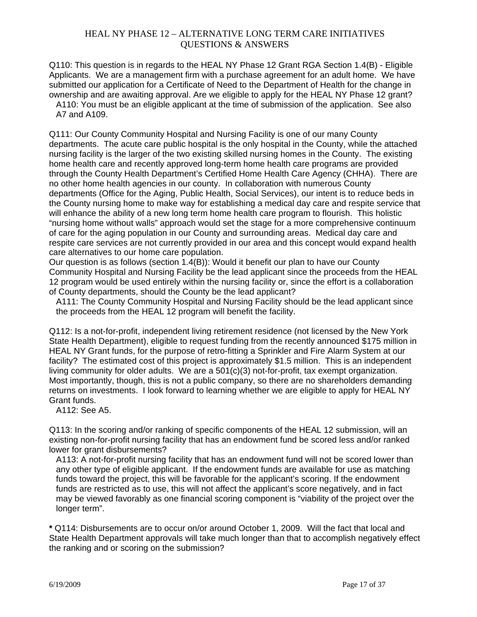Q110: This question is in regards to the HEAL NY Phase 12 Grant RGA Section 1.4(B) - Eligible Applicants. We are a management firm with a purchase agreement for an adult home. We have submitted our application for a Certificate of Need to the Department of Health for the change in ownership and are awaiting approval. Are we eligible to apply for the HEAL NY Phase 12 grant? A110: You must be an eligible applicant at the time of submission of the application. See also A7 and A109.

Q111: Our County Community Hospital and Nursing Facility is one of our many County departments. The acute care public hospital is the only hospital in the County, while the attached nursing facility is the larger of the two existing skilled nursing homes in the County. The existing home health care and recently approved long-term home health care programs are provided through the County Health Department's Certified Home Health Care Agency (CHHA). There are no other home health agencies in our county. In collaboration with numerous County departments (Office for the Aging, Public Health, Social Services), our intent is to reduce beds in the County nursing home to make way for establishing a medical day care and respite service that will enhance the ability of a new long term home health care program to flourish. This holistic "nursing home without walls" approach would set the stage for a more comprehensive continuum of care for the aging population in our County and surrounding areas. Medical day care and respite care services are not currently provided in our area and this concept would expand health care alternatives to our home care population.

Our question is as follows (section 1.4(B)): Would it benefit our plan to have our County Community Hospital and Nursing Facility be the lead applicant since the proceeds from the HEAL 12 program would be used entirely within the nursing facility or, since the effort is a collaboration of County departments, should the County be the lead applicant?

A111: The County Community Hospital and Nursing Facility should be the lead applicant since the proceeds from the HEAL 12 program will benefit the facility.

Q112: Is a not-for-profit, independent living retirement residence (not licensed by the New York State Health Department), eligible to request funding from the recently announced \$175 million in HEAL NY Grant funds, for the purpose of retro-fitting a Sprinkler and Fire Alarm System at our facility? The estimated cost of this project is approximately \$1.5 million. This is an independent living community for older adults. We are a 501(c)(3) not-for-profit, tax exempt organization. Most importantly, though, this is not a public company, so there are no shareholders demanding returns on investments. I look forward to learning whether we are eligible to apply for HEAL NY Grant funds.

A112: See A5.

Q113: In the scoring and/or ranking of specific components of the HEAL 12 submission, will an existing non-for-profit nursing facility that has an endowment fund be scored less and/or ranked lower for grant disbursements?

A113: A not-for-profit nursing facility that has an endowment fund will not be scored lower than any other type of eligible applicant. If the endowment funds are available for use as matching funds toward the project, this will be favorable for the applicant's scoring. If the endowment funds are restricted as to use, this will not affect the applicant's score negatively, and in fact may be viewed favorably as one financial scoring component is "viability of the project over the longer term".

**\*** Q114: Disbursements are to occur on/or around October 1, 2009. Will the fact that local and State Health Department approvals will take much longer than that to accomplish negatively effect the ranking and or scoring on the submission?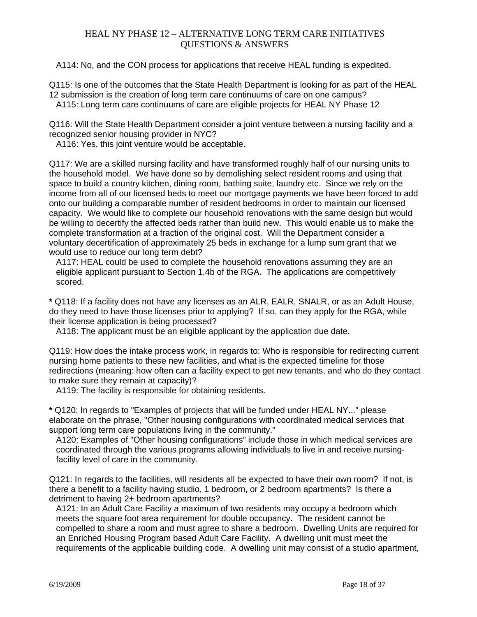A114: No, and the CON process for applications that receive HEAL funding is expedited.

Q115: Is one of the outcomes that the State Health Department is looking for as part of the HEAL 12 submission is the creation of long term care continuums of care on one campus? A115: Long term care continuums of care are eligible projects for HEAL NY Phase 12

Q116: Will the State Health Department consider a joint venture between a nursing facility and a recognized senior housing provider in NYC?

A116: Yes, this joint venture would be acceptable.

Q117: We are a skilled nursing facility and have transformed roughly half of our nursing units to the household model. We have done so by demolishing select resident rooms and using that space to build a country kitchen, dining room, bathing suite, laundry etc. Since we rely on the income from all of our licensed beds to meet our mortgage payments we have been forced to add onto our building a comparable number of resident bedrooms in order to maintain our licensed capacity. We would like to complete our household renovations with the same design but would be willing to decertify the affected beds rather than build new. This would enable us to make the complete transformation at a fraction of the original cost. Will the Department consider a voluntary decertification of approximately 25 beds in exchange for a lump sum grant that we would use to reduce our long term debt?

A117: HEAL could be used to complete the household renovations assuming they are an eligible applicant pursuant to Section 1.4b of the RGA. The applications are competitively scored.

**\*** Q118: If a facility does not have any licenses as an ALR, EALR, SNALR, or as an Adult House, do they need to have those licenses prior to applying? If so, can they apply for the RGA, while their license application is being processed?

A118: The applicant must be an eligible applicant by the application due date.

Q119: How does the intake process work, in regards to: Who is responsible for redirecting current nursing home patients to these new facilities, and what is the expected timeline for those redirections (meaning: how often can a facility expect to get new tenants, and who do they contact to make sure they remain at capacity)?

A119: The facility is responsible for obtaining residents.

**\*** Q120: In regards to "Examples of projects that will be funded under HEAL NY..." please elaborate on the phrase, "Other housing configurations with coordinated medical services that support long term care populations living in the community."

A120: Examples of "Other housing configurations" include those in which medical services are coordinated through the various programs allowing individuals to live in and receive nursingfacility level of care in the community.

Q121: In regards to the facilities, will residents all be expected to have their own room? If not, is there a benefit to a facility having studio, 1 bedroom, or 2 bedroom apartments? Is there a detriment to having 2+ bedroom apartments?

A121: In an Adult Care Facility a maximum of two residents may occupy a bedroom which meets the square foot area requirement for double occupancy. The resident cannot be compelled to share a room and must agree to share a bedroom. Dwelling Units are required for an Enriched Housing Program based Adult Care Facility. A dwelling unit must meet the requirements of the applicable building code. A dwelling unit may consist of a studio apartment,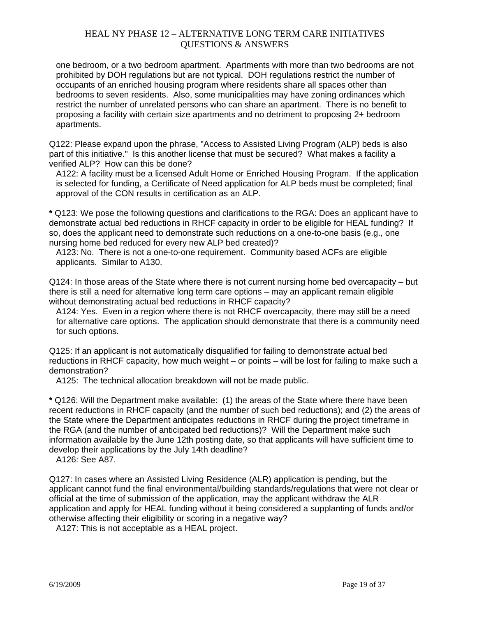one bedroom, or a two bedroom apartment. Apartments with more than two bedrooms are not prohibited by DOH regulations but are not typical. DOH regulations restrict the number of occupants of an enriched housing program where residents share all spaces other than bedrooms to seven residents. Also, some municipalities may have zoning ordinances which restrict the number of unrelated persons who can share an apartment. There is no benefit to proposing a facility with certain size apartments and no detriment to proposing 2+ bedroom apartments.

Q122: Please expand upon the phrase, "Access to Assisted Living Program (ALP) beds is also part of this initiative." Is this another license that must be secured? What makes a facility a verified ALP? How can this be done?

A122: A facility must be a licensed Adult Home or Enriched Housing Program. If the application is selected for funding, a Certificate of Need application for ALP beds must be completed; final approval of the CON results in certification as an ALP.

**\*** Q123: We pose the following questions and clarifications to the RGA: Does an applicant have to demonstrate actual bed reductions in RHCF capacity in order to be eligible for HEAL funding? If so, does the applicant need to demonstrate such reductions on a one-to-one basis (e.g., one nursing home bed reduced for every new ALP bed created)?

A123: No. There is not a one-to-one requirement. Community based ACFs are eligible applicants. Similar to A130.

Q124: In those areas of the State where there is not current nursing home bed overcapacity – but there is still a need for alternative long term care options – may an applicant remain eligible without demonstrating actual bed reductions in RHCF capacity?

A124: Yes. Even in a region where there is not RHCF overcapacity, there may still be a need for alternative care options. The application should demonstrate that there is a community need for such options.

Q125: If an applicant is not automatically disqualified for failing to demonstrate actual bed reductions in RHCF capacity, how much weight – or points – will be lost for failing to make such a demonstration?

A125: The technical allocation breakdown will not be made public.

**\*** Q126: Will the Department make available: (1) the areas of the State where there have been recent reductions in RHCF capacity (and the number of such bed reductions); and (2) the areas of the State where the Department anticipates reductions in RHCF during the project timeframe in the RGA (and the number of anticipated bed reductions)? Will the Department make such information available by the June 12th posting date, so that applicants will have sufficient time to develop their applications by the July 14th deadline?

A126: See A87.

Q127: In cases where an Assisted Living Residence (ALR) application is pending, but the applicant cannot fund the final environmental/building standards/regulations that were not clear or official at the time of submission of the application, may the applicant withdraw the ALR application and apply for HEAL funding without it being considered a supplanting of funds and/or otherwise affecting their eligibility or scoring in a negative way?

A127: This is not acceptable as a HEAL project.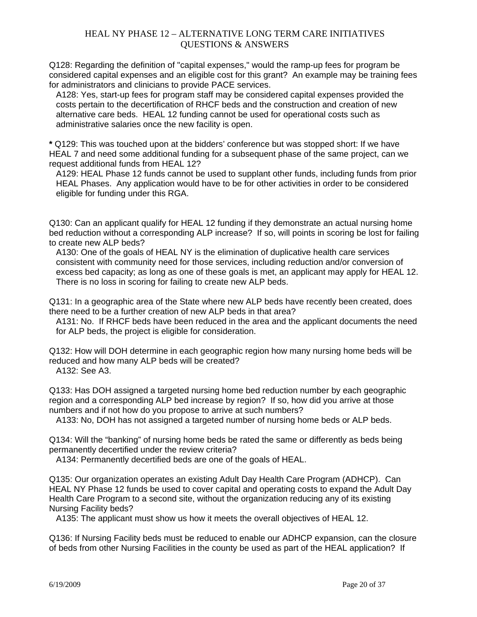Q128: Regarding the definition of "capital expenses," would the ramp-up fees for program be considered capital expenses and an eligible cost for this grant? An example may be training fees for administrators and clinicians to provide PACE services.

A128: Yes, start-up fees for program staff may be considered capital expenses provided the costs pertain to the decertification of RHCF beds and the construction and creation of new alternative care beds. HEAL 12 funding cannot be used for operational costs such as administrative salaries once the new facility is open.

**\*** Q129: This was touched upon at the bidders' conference but was stopped short: If we have HEAL 7 and need some additional funding for a subsequent phase of the same project, can we request additional funds from HEAL 12?

A129: HEAL Phase 12 funds cannot be used to supplant other funds, including funds from prior HEAL Phases. Any application would have to be for other activities in order to be considered eligible for funding under this RGA.

Q130: Can an applicant qualify for HEAL 12 funding if they demonstrate an actual nursing home bed reduction without a corresponding ALP increase? If so, will points in scoring be lost for failing to create new ALP beds?

A130: One of the goals of HEAL NY is the elimination of duplicative health care services consistent with community need for those services, including reduction and/or conversion of excess bed capacity; as long as one of these goals is met, an applicant may apply for HEAL 12. There is no loss in scoring for failing to create new ALP beds.

Q131: In a geographic area of the State where new ALP beds have recently been created, does there need to be a further creation of new ALP beds in that area?

A131: No. If RHCF beds have been reduced in the area and the applicant documents the need for ALP beds, the project is eligible for consideration.

Q132: How will DOH determine in each geographic region how many nursing home beds will be reduced and how many ALP beds will be created?

A132: See A3.

Q133: Has DOH assigned a targeted nursing home bed reduction number by each geographic region and a corresponding ALP bed increase by region? If so, how did you arrive at those numbers and if not how do you propose to arrive at such numbers?

A133: No, DOH has not assigned a targeted number of nursing home beds or ALP beds.

Q134: Will the "banking" of nursing home beds be rated the same or differently as beds being permanently decertified under the review criteria?

A134: Permanently decertified beds are one of the goals of HEAL.

Q135: Our organization operates an existing Adult Day Health Care Program (ADHCP). Can HEAL NY Phase 12 funds be used to cover capital and operating costs to expand the Adult Day Health Care Program to a second site, without the organization reducing any of its existing Nursing Facility beds?

A135: The applicant must show us how it meets the overall objectives of HEAL 12.

Q136: If Nursing Facility beds must be reduced to enable our ADHCP expansion, can the closure of beds from other Nursing Facilities in the county be used as part of the HEAL application? If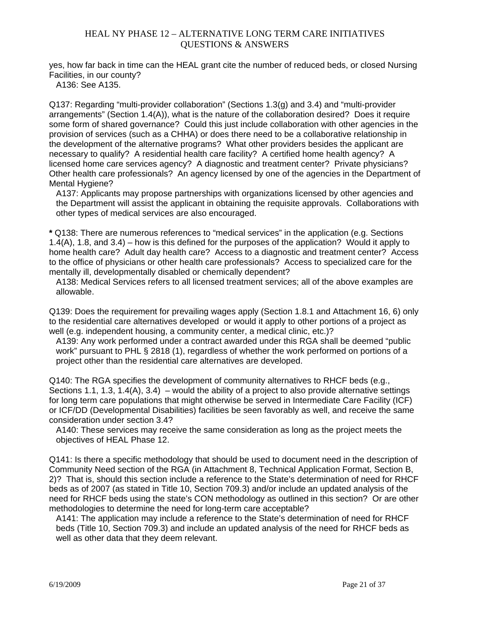yes, how far back in time can the HEAL grant cite the number of reduced beds, or closed Nursing Facilities, in our county?

A136: See A135.

Q137: Regarding "multi-provider collaboration" (Sections 1.3(g) and 3.4) and "multi-provider arrangements" (Section  $1.4(A)$ ), what is the nature of the collaboration desired? Does it require some form of shared governance? Could this just include collaboration with other agencies in the provision of services (such as a CHHA) or does there need to be a collaborative relationship in the development of the alternative programs? What other providers besides the applicant are necessary to qualify? A residential health care facility? A certified home health agency? A licensed home care services agency? A diagnostic and treatment center? Private physicians? Other health care professionals? An agency licensed by one of the agencies in the Department of Mental Hygiene?

A137: Applicants may propose partnerships with organizations licensed by other agencies and the Department will assist the applicant in obtaining the requisite approvals. Collaborations with other types of medical services are also encouraged.

**\*** Q138: There are numerous references to "medical services" in the application (e.g. Sections 1.4(A), 1.8, and 3.4) – how is this defined for the purposes of the application? Would it apply to home health care? Adult day health care? Access to a diagnostic and treatment center? Access to the office of physicians or other health care professionals? Access to specialized care for the mentally ill, developmentally disabled or chemically dependent?

A138: Medical Services refers to all licensed treatment services; all of the above examples are allowable.

Q139: Does the requirement for prevailing wages apply (Section 1.8.1 and Attachment 16, 6) only to the residential care alternatives developed or would it apply to other portions of a project as well (e.g. independent housing, a community center, a medical clinic, etc.)?

A139: Any work performed under a contract awarded under this RGA shall be deemed "public work" pursuant to PHL § 2818 (1), regardless of whether the work performed on portions of a project other than the residential care alternatives are developed.

Q140: The RGA specifies the development of community alternatives to RHCF beds (e.g., Sections 1.1, 1.3, 1.4(A), 3.4) – would the ability of a project to also provide alternative settings for long term care populations that might otherwise be served in Intermediate Care Facility (ICF) or ICF/DD (Developmental Disabilities) facilities be seen favorably as well, and receive the same consideration under section 3.4?

A140: These services may receive the same consideration as long as the project meets the objectives of HEAL Phase 12.

Q141: Is there a specific methodology that should be used to document need in the description of Community Need section of the RGA (in Attachment 8, Technical Application Format, Section B, 2)? That is, should this section include a reference to the State's determination of need for RHCF beds as of 2007 (as stated in Title 10, Section 709.3) and/or include an updated analysis of the need for RHCF beds using the state's CON methodology as outlined in this section? Or are other methodologies to determine the need for long-term care acceptable?

A141: The application may include a reference to the State's determination of need for RHCF beds (Title 10, Section 709.3) and include an updated analysis of the need for RHCF beds as well as other data that they deem relevant.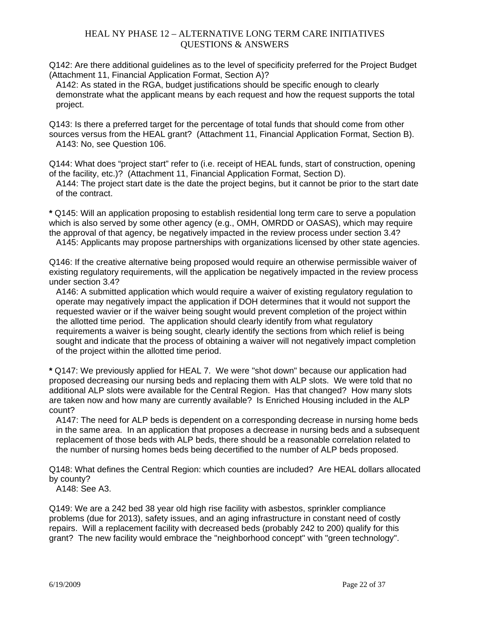Q142: Are there additional guidelines as to the level of specificity preferred for the Project Budget (Attachment 11, Financial Application Format, Section A)?

A142: As stated in the RGA, budget justifications should be specific enough to clearly demonstrate what the applicant means by each request and how the request supports the total project.

Q143: Is there a preferred target for the percentage of total funds that should come from other sources versus from the HEAL grant? (Attachment 11, Financial Application Format, Section B). A143: No, see Question 106.

Q144: What does "project start" refer to (i.e. receipt of HEAL funds, start of construction, opening of the facility, etc.)? (Attachment 11, Financial Application Format, Section D).

A144: The project start date is the date the project begins, but it cannot be prior to the start date of the contract.

**\*** Q145: Will an application proposing to establish residential long term care to serve a population which is also served by some other agency (e.g., OMH, OMRDD or OASAS), which may require the approval of that agency, be negatively impacted in the review process under section 3.4?

A145: Applicants may propose partnerships with organizations licensed by other state agencies.

Q146: If the creative alternative being proposed would require an otherwise permissible waiver of existing regulatory requirements, will the application be negatively impacted in the review process under section 3.4?

A146: A submitted application which would require a waiver of existing regulatory regulation to operate may negatively impact the application if DOH determines that it would not support the requested wavier or if the waiver being sought would prevent completion of the project within the allotted time period. The application should clearly identify from what regulatory requirements a waiver is being sought, clearly identify the sections from which relief is being sought and indicate that the process of obtaining a waiver will not negatively impact completion of the project within the allotted time period.

**\*** Q147: We previously applied for HEAL 7. We were "shot down" because our application had proposed decreasing our nursing beds and replacing them with ALP slots. We were told that no additional ALP slots were available for the Central Region. Has that changed? How many slots are taken now and how many are currently available? Is Enriched Housing included in the ALP count?

A147: The need for ALP beds is dependent on a corresponding decrease in nursing home beds in the same area. In an application that proposes a decrease in nursing beds and a subsequent replacement of those beds with ALP beds, there should be a reasonable correlation related to the number of nursing homes beds being decertified to the number of ALP beds proposed.

Q148: What defines the Central Region: which counties are included? Are HEAL dollars allocated by county?

A148: See A3.

Q149: We are a 242 bed 38 year old high rise facility with asbestos, sprinkler compliance problems (due for 2013), safety issues, and an aging infrastructure in constant need of costly repairs. Will a replacement facility with decreased beds (probably 242 to 200) qualify for this grant? The new facility would embrace the "neighborhood concept" with "green technology".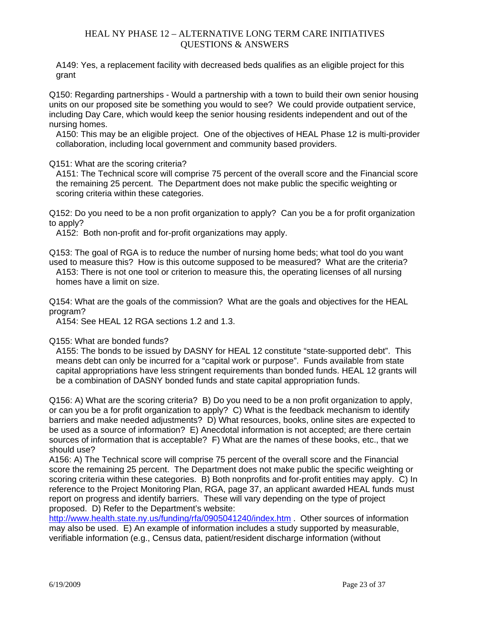A149: Yes, a replacement facility with decreased beds qualifies as an eligible project for this grant

Q150: Regarding partnerships - Would a partnership with a town to build their own senior housing units on our proposed site be something you would to see? We could provide outpatient service, including Day Care, which would keep the senior housing residents independent and out of the nursing homes.

A150: This may be an eligible project. One of the objectives of HEAL Phase 12 is multi-provider collaboration, including local government and community based providers.

#### Q151: What are the scoring criteria?

A151: The Technical score will comprise 75 percent of the overall score and the Financial score the remaining 25 percent. The Department does not make public the specific weighting or scoring criteria within these categories.

Q152: Do you need to be a non profit organization to apply? Can you be a for profit organization to apply?

A152: Both non-profit and for-profit organizations may apply.

Q153: The goal of RGA is to reduce the number of nursing home beds; what tool do you want used to measure this? How is this outcome supposed to be measured? What are the criteria? A153: There is not one tool or criterion to measure this, the operating licenses of all nursing homes have a limit on size.

Q154: What are the goals of the commission? What are the goals and objectives for the HEAL program?

A154: See HEAL 12 RGA sections 1.2 and 1.3.

#### Q155: What are bonded funds?

A155: The bonds to be issued by DASNY for HEAL 12 constitute "state-supported debt". This means debt can only be incurred for a "capital work or purpose". Funds available from state capital appropriations have less stringent requirements than bonded funds. HEAL 12 grants will be a combination of DASNY bonded funds and state capital appropriation funds.

Q156: A) What are the scoring criteria? B) Do you need to be a non profit organization to apply, or can you be a for profit organization to apply? C) What is the feedback mechanism to identify barriers and make needed adjustments? D) What resources, books, online sites are expected to be used as a source of information? E) Anecdotal information is not accepted; are there certain sources of information that is acceptable? F) What are the names of these books, etc., that we should use?

A156: A) The Technical score will comprise 75 percent of the overall score and the Financial score the remaining 25 percent. The Department does not make public the specific weighting or scoring criteria within these categories. B) Both nonprofits and for-profit entities may apply. C) In reference to the Project Monitoring Plan, RGA, page 37, an applicant awarded HEAL funds must report on progress and identify barriers. These will vary depending on the type of project proposed. D) Refer to the Department's website:

http://www.health.state.ny.us/funding/rfa/0905041240/index.htm . Other sources of information may also be used. E) An example of information includes a study supported by measurable, verifiable information (e.g., Census data, patient/resident discharge information (without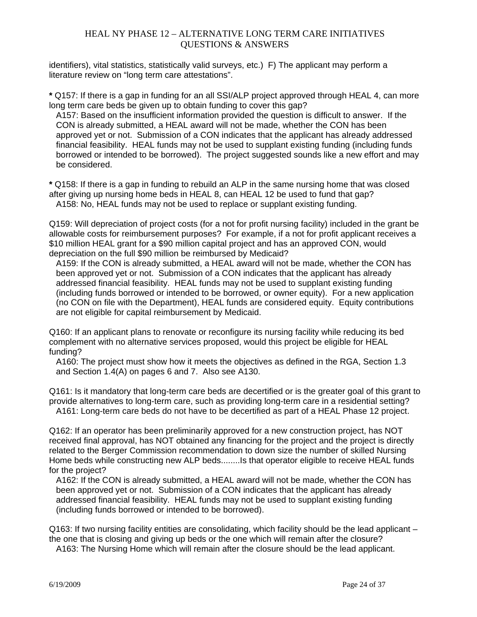identifiers), vital statistics, statistically valid surveys, etc.) F) The applicant may perform a literature review on "long term care attestations".

**\*** Q157: If there is a gap in funding for an all SSI/ALP project approved through HEAL 4, can more long term care beds be given up to obtain funding to cover this gap?

A157: Based on the insufficient information provided the question is difficult to answer. If the CON is already submitted, a HEAL award will not be made, whether the CON has been approved yet or not. Submission of a CON indicates that the applicant has already addressed financial feasibility. HEAL funds may not be used to supplant existing funding (including funds borrowed or intended to be borrowed). The project suggested sounds like a new effort and may be considered.

**\*** Q158: If there is a gap in funding to rebuild an ALP in the same nursing home that was closed after giving up nursing home beds in HEAL 8, can HEAL 12 be used to fund that gap? A158: No, HEAL funds may not be used to replace or supplant existing funding.

Q159: Will depreciation of project costs (for a not for profit nursing facility) included in the grant be allowable costs for reimbursement purposes? For example, if a not for profit applicant receives a \$10 million HEAL grant for a \$90 million capital project and has an approved CON, would depreciation on the full \$90 million be reimbursed by Medicaid?

A159: If the CON is already submitted, a HEAL award will not be made, whether the CON has been approved yet or not. Submission of a CON indicates that the applicant has already addressed financial feasibility. HEAL funds may not be used to supplant existing funding (including funds borrowed or intended to be borrowed, or owner equity). For a new application (no CON on file with the Department), HEAL funds are considered equity. Equity contributions are not eligible for capital reimbursement by Medicaid.

Q160: If an applicant plans to renovate or reconfigure its nursing facility while reducing its bed complement with no alternative services proposed, would this project be eligible for HEAL funding?

A160: The project must show how it meets the objectives as defined in the RGA, Section 1.3 and Section 1.4(A) on pages 6 and 7. Also see A130.

Q161: Is it mandatory that long-term care beds are decertified or is the greater goal of this grant to provide alternatives to long-term care, such as providing long-term care in a residential setting? A161: Long-term care beds do not have to be decertified as part of a HEAL Phase 12 project.

Q162: If an operator has been preliminarily approved for a new construction project, has NOT received final approval, has NOT obtained any financing for the project and the project is directly related to the Berger Commission recommendation to down size the number of skilled Nursing Home beds while constructing new ALP beds........Is that operator eligible to receive HEAL funds for the project?

A162: If the CON is already submitted, a HEAL award will not be made, whether the CON has been approved yet or not. Submission of a CON indicates that the applicant has already addressed financial feasibility. HEAL funds may not be used to supplant existing funding (including funds borrowed or intended to be borrowed).

Q163: If two nursing facility entities are consolidating, which facility should be the lead applicant – the one that is closing and giving up beds or the one which will remain after the closure?

A163: The Nursing Home which will remain after the closure should be the lead applicant.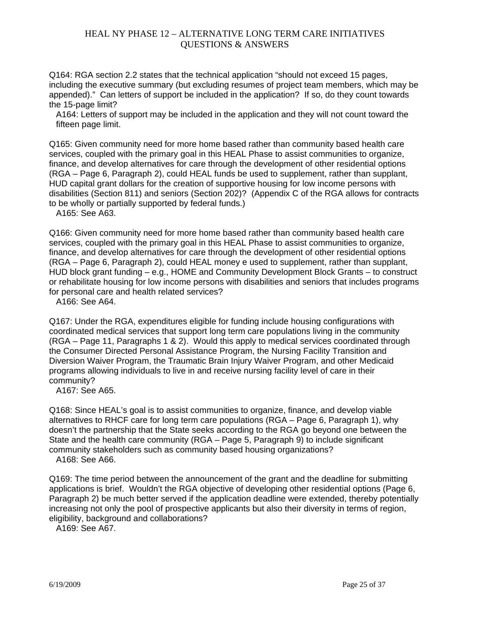Q164: RGA section 2.2 states that the technical application "should not exceed 15 pages, including the executive summary (but excluding resumes of project team members, which may be appended)." Can letters of support be included in the application? If so, do they count towards the 15-page limit?

A164: Letters of support may be included in the application and they will not count toward the fifteen page limit.

Q165: Given community need for more home based rather than community based health care services, coupled with the primary goal in this HEAL Phase to assist communities to organize, finance, and develop alternatives for care through the development of other residential options (RGA – Page 6, Paragraph 2), could HEAL funds be used to supplement, rather than supplant, HUD capital grant dollars for the creation of supportive housing for low income persons with disabilities (Section 811) and seniors (Section 202)? (Appendix C of the RGA allows for contracts to be wholly or partially supported by federal funds.)

A165: See A63.

Q166: Given community need for more home based rather than community based health care services, coupled with the primary goal in this HEAL Phase to assist communities to organize, finance, and develop alternatives for care through the development of other residential options (RGA – Page 6, Paragraph 2), could HEAL money e used to supplement, rather than supplant, HUD block grant funding – e.g., HOME and Community Development Block Grants – to construct or rehabilitate housing for low income persons with disabilities and seniors that includes programs for personal care and health related services?

A166: See A64.

Q167: Under the RGA, expenditures eligible for funding include housing configurations with coordinated medical services that support long term care populations living in the community (RGA – Page 11, Paragraphs 1 & 2). Would this apply to medical services coordinated through the Consumer Directed Personal Assistance Program, the Nursing Facility Transition and Diversion Waiver Program, the Traumatic Brain Injury Waiver Program, and other Medicaid programs allowing individuals to live in and receive nursing facility level of care in their community?

A167: See A65.

Q168: Since HEAL's goal is to assist communities to organize, finance, and develop viable alternatives to RHCF care for long term care populations (RGA – Page 6, Paragraph 1), why doesn't the partnership that the State seeks according to the RGA go beyond one between the State and the health care community (RGA – Page 5, Paragraph 9) to include significant community stakeholders such as community based housing organizations?

A168: See A66.

Q169: The time period between the announcement of the grant and the deadline for submitting applications is brief. Wouldn't the RGA objective of developing other residential options (Page 6, Paragraph 2) be much better served if the application deadline were extended, thereby potentially increasing not only the pool of prospective applicants but also their diversity in terms of region, eligibility, background and collaborations?

A169: See A67.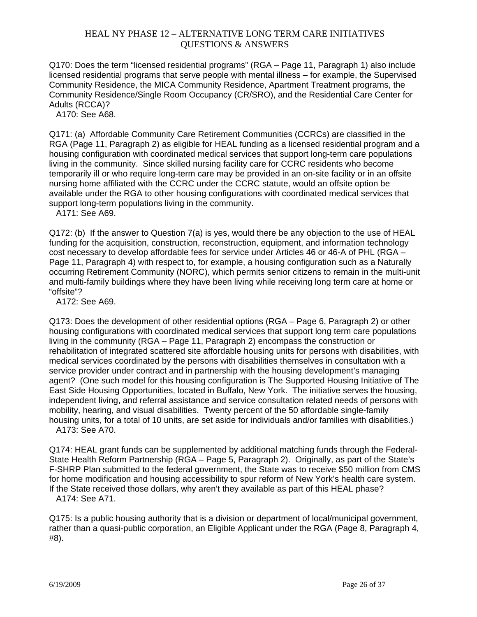Q170: Does the term "licensed residential programs" (RGA – Page 11, Paragraph 1) also include licensed residential programs that serve people with mental illness – for example, the Supervised Community Residence, the MICA Community Residence, Apartment Treatment programs, the Community Residence/Single Room Occupancy (CR/SRO), and the Residential Care Center for Adults (RCCA)?

A170: See A68.

Q171: (a) Affordable Community Care Retirement Communities (CCRCs) are classified in the RGA (Page 11, Paragraph 2) as eligible for HEAL funding as a licensed residential program and a housing configuration with coordinated medical services that support long-term care populations living in the community. Since skilled nursing facility care for CCRC residents who become temporarily ill or who require long-term care may be provided in an on-site facility or in an offsite nursing home affiliated with the CCRC under the CCRC statute, would an offsite option be available under the RGA to other housing configurations with coordinated medical services that support long-term populations living in the community.

A171: See A69.

Q172: (b) If the answer to Question 7(a) is yes, would there be any objection to the use of HEAL funding for the acquisition, construction, reconstruction, equipment, and information technology cost necessary to develop affordable fees for service under Articles 46 or 46-A of PHL (RGA – Page 11, Paragraph 4) with respect to, for example, a housing configuration such as a Naturally occurring Retirement Community (NORC), which permits senior citizens to remain in the multi-unit and multi-family buildings where they have been living while receiving long term care at home or "offsite"?

A172: See A69.

Q173: Does the development of other residential options (RGA – Page 6, Paragraph 2) or other housing configurations with coordinated medical services that support long term care populations living in the community (RGA – Page 11, Paragraph 2) encompass the construction or rehabilitation of integrated scattered site affordable housing units for persons with disabilities, with medical services coordinated by the persons with disabilities themselves in consultation with a service provider under contract and in partnership with the housing development's managing agent? (One such model for this housing configuration is The Supported Housing Initiative of The East Side Housing Opportunities, located in Buffalo, New York. The initiative serves the housing, independent living, and referral assistance and service consultation related needs of persons with mobility, hearing, and visual disabilities. Twenty percent of the 50 affordable single-family housing units, for a total of 10 units, are set aside for individuals and/or families with disabilities.) A173: See A70.

Q174: HEAL grant funds can be supplemented by additional matching funds through the Federal-State Health Reform Partnership (RGA – Page 5, Paragraph 2). Originally, as part of the State's F-SHRP Plan submitted to the federal government, the State was to receive \$50 million from CMS for home modification and housing accessibility to spur reform of New York's health care system. If the State received those dollars, why aren't they available as part of this HEAL phase? A174: See A71.

Q175: Is a public housing authority that is a division or department of local/municipal government, rather than a quasi-public corporation, an Eligible Applicant under the RGA (Page 8, Paragraph 4, #8).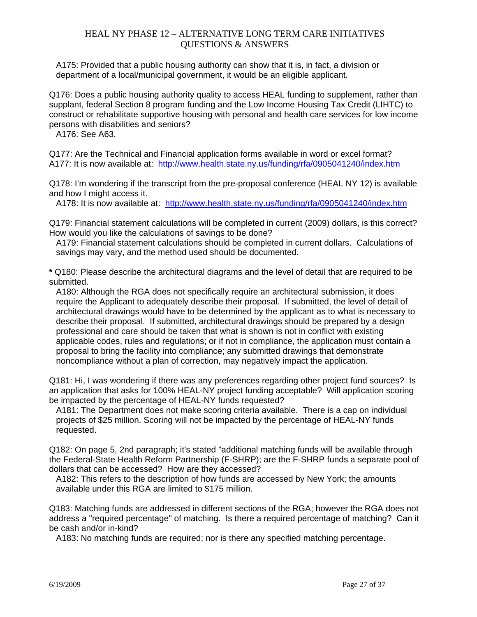A175: Provided that a public housing authority can show that it is, in fact, a division or department of a local/municipal government, it would be an eligible applicant.

Q176: Does a public housing authority quality to access HEAL funding to supplement, rather than supplant, federal Section 8 program funding and the Low Income Housing Tax Credit (LIHTC) to construct or rehabilitate supportive housing with personal and health care services for low income persons with disabilities and seniors?

A176: See A63.

Q177: Are the Technical and Financial application forms available in word or excel format? A177: It is now available at: http://www.health.state.ny.us/funding/rfa/0905041240/index.htm

Q178: I'm wondering if the transcript from the pre-proposal conference (HEAL NY 12) is available and how I might access it.

A178: It is now available at: http://www.health.state.ny.us/funding/rfa/0905041240/index.htm

Q179: Financial statement calculations will be completed in current (2009) dollars, is this correct? How would you like the calculations of savings to be done?

A179: Financial statement calculations should be completed in current dollars. Calculations of savings may vary, and the method used should be documented.

**\*** Q180: Please describe the architectural diagrams and the level of detail that are required to be submitted.

A180: Although the RGA does not specifically require an architectural submission, it does require the Applicant to adequately describe their proposal. If submitted, the level of detail of architectural drawings would have to be determined by the applicant as to what is necessary to describe their proposal. If submitted, architectural drawings should be prepared by a design professional and care should be taken that what is shown is not in conflict with existing applicable codes, rules and regulations; or if not in compliance, the application must contain a proposal to bring the facility into compliance; any submitted drawings that demonstrate noncompliance without a plan of correction, may negatively impact the application.

Q181: Hi, I was wondering if there was any preferences regarding other project fund sources? Is an application that asks for 100% HEAL-NY project funding acceptable? Will application scoring be impacted by the percentage of HEAL-NY funds requested?

A181: The Department does not make scoring criteria available. There is a cap on individual projects of \$25 million. Scoring will not be impacted by the percentage of HEAL-NY funds requested.

Q182: On page 5, 2nd paragraph; it's stated "additional matching funds will be available through the Federal-State Health Reform Partnership (F-SHRP); are the F-SHRP funds a separate pool of dollars that can be accessed? How are they accessed?

A182: This refers to the description of how funds are accessed by New York; the amounts available under this RGA are limited to \$175 million.

Q183: Matching funds are addressed in different sections of the RGA; however the RGA does not address a "required percentage" of matching. Is there a required percentage of matching? Can it be cash and/or in-kind?

A183: No matching funds are required; nor is there any specified matching percentage.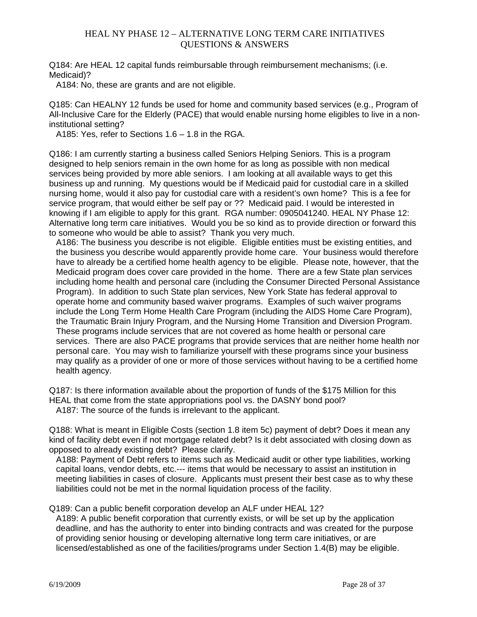Q184: Are HEAL 12 capital funds reimbursable through reimbursement mechanisms; (i.e. Medicaid)?

A184: No, these are grants and are not eligible.

Q185: Can HEALNY 12 funds be used for home and community based services (e.g., Program of All-Inclusive Care for the Elderly (PACE) that would enable nursing home eligibles to live in a noninstitutional setting?

A185: Yes, refer to Sections 1.6 – 1.8 in the RGA.

Q186: I am currently starting a business called Seniors Helping Seniors. This is a program designed to help seniors remain in the own home for as long as possible with non medical services being provided by more able seniors. I am looking at all available ways to get this business up and running. My questions would be if Medicaid paid for custodial care in a skilled nursing home, would it also pay for custodial care with a resident's own home? This is a fee for service program, that would either be self pay or ?? Medicaid paid. I would be interested in knowing if I am eligible to apply for this grant. RGA number: 0905041240. HEAL NY Phase 12: Alternative long term care initiatives. Would you be so kind as to provide direction or forward this to someone who would be able to assist? Thank you very much.

A186: The business you describe is not eligible. Eligible entities must be existing entities, and the business you describe would apparently provide home care. Your business would therefore have to already be a certified home health agency to be eligible. Please note, however, that the Medicaid program does cover care provided in the home. There are a few State plan services including home health and personal care (including the Consumer Directed Personal Assistance Program). In addition to such State plan services, New York State has federal approval to operate home and community based waiver programs. Examples of such waiver programs include the Long Term Home Health Care Program (including the AIDS Home Care Program), the Traumatic Brain Injury Program, and the Nursing Home Transition and Diversion Program. These programs include services that are not covered as home health or personal care services. There are also PACE programs that provide services that are neither home health nor personal care. You may wish to familiarize yourself with these programs since your business may qualify as a provider of one or more of those services without having to be a certified home health agency.

Q187: Is there information available about the proportion of funds of the \$175 Million for this HEAL that come from the state appropriations pool vs. the DASNY bond pool? A187: The source of the funds is irrelevant to the applicant.

Q188: What is meant in Eligible Costs (section 1.8 item 5c) payment of debt? Does it mean any kind of facility debt even if not mortgage related debt? Is it debt associated with closing down as opposed to already existing debt? Please clarify.

A188: Payment of Debt refers to items such as Medicaid audit or other type liabilities, working capital loans, vendor debts, etc.--- items that would be necessary to assist an institution in meeting liabilities in cases of closure. Applicants must present their best case as to why these liabilities could not be met in the normal liquidation process of the facility.

#### Q189: Can a public benefit corporation develop an ALF under HEAL 12?

A189: A public benefit corporation that currently exists, or will be set up by the application deadline, and has the authority to enter into binding contracts and was created for the purpose of providing senior housing or developing alternative long term care initiatives, or are licensed/established as one of the facilities/programs under Section 1.4(B) may be eligible.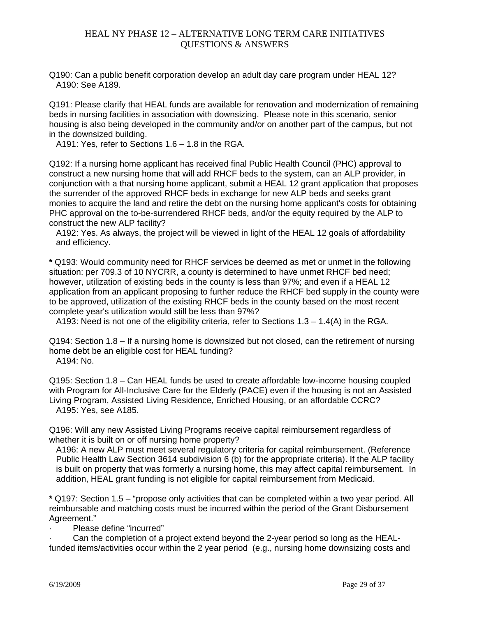Q190: Can a public benefit corporation develop an adult day care program under HEAL 12? A190: See A189.

Q191: Please clarify that HEAL funds are available for renovation and modernization of remaining beds in nursing facilities in association with downsizing. Please note in this scenario, senior housing is also being developed in the community and/or on another part of the campus, but not in the downsized building.

A191: Yes, refer to Sections 1.6 – 1.8 in the RGA.

Q192: If a nursing home applicant has received final Public Health Council (PHC) approval to construct a new nursing home that will add RHCF beds to the system, can an ALP provider, in conjunction with a that nursing home applicant, submit a HEAL 12 grant application that proposes the surrender of the approved RHCF beds in exchange for new ALP beds and seeks grant monies to acquire the land and retire the debt on the nursing home applicant's costs for obtaining PHC approval on the to-be-surrendered RHCF beds, and/or the equity required by the ALP to construct the new ALP facility?

A192: Yes. As always, the project will be viewed in light of the HEAL 12 goals of affordability and efficiency.

**\*** Q193: Would community need for RHCF services be deemed as met or unmet in the following situation: per 709.3 of 10 NYCRR, a county is determined to have unmet RHCF bed need; however, utilization of existing beds in the county is less than 97%; and even if a HEAL 12 application from an applicant proposing to further reduce the RHCF bed supply in the county were to be approved, utilization of the existing RHCF beds in the county based on the most recent complete year's utilization would still be less than 97%?

A193: Need is not one of the eligibility criteria, refer to Sections  $1.3 - 1.4(A)$  in the RGA.

Q194: Section 1.8 – If a nursing home is downsized but not closed, can the retirement of nursing home debt be an eligible cost for HEAL funding? A194: No.

Q195: Section 1.8 – Can HEAL funds be used to create affordable low-income housing coupled with Program for All-Inclusive Care for the Elderly (PACE) even if the housing is not an Assisted Living Program, Assisted Living Residence, Enriched Housing, or an affordable CCRC? A195: Yes, see A185.

Q196: Will any new Assisted Living Programs receive capital reimbursement regardless of whether it is built on or off nursing home property?

A196: A new ALP must meet several regulatory criteria for capital reimbursement. (Reference Public Health Law Section 3614 subdivision 6 (b) for the appropriate criteria). If the ALP facility is built on property that was formerly a nursing home, this may affect capital reimbursement. In addition, HEAL grant funding is not eligible for capital reimbursement from Medicaid.

**\*** Q197: Section 1.5 – "propose only activities that can be completed within a two year period. All reimbursable and matching costs must be incurred within the period of the Grant Disbursement Agreement."

Please define "incurred"

· Can the completion of a project extend beyond the 2-year period so long as the HEALfunded items/activities occur within the 2 year period (e.g., nursing home downsizing costs and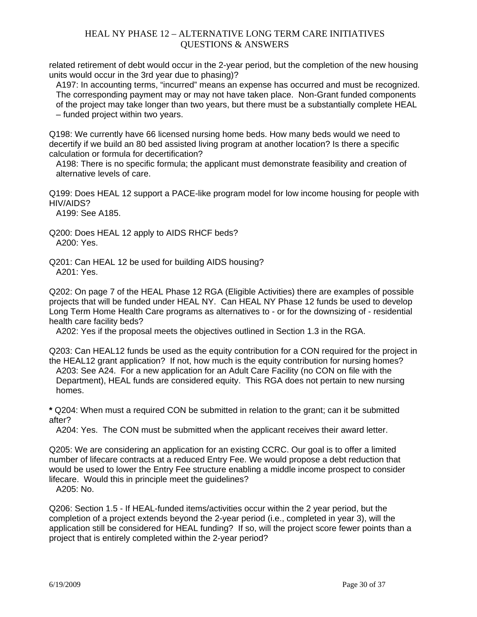related retirement of debt would occur in the 2-year period, but the completion of the new housing units would occur in the 3rd year due to phasing)?

A197: In accounting terms, "incurred" means an expense has occurred and must be recognized. The corresponding payment may or may not have taken place. Non-Grant funded components of the project may take longer than two years, but there must be a substantially complete HEAL – funded project within two years.

Q198: We currently have 66 licensed nursing home beds. How many beds would we need to decertify if we build an 80 bed assisted living program at another location? Is there a specific calculation or formula for decertification?

A198: There is no specific formula; the applicant must demonstrate feasibility and creation of alternative levels of care.

Q199: Does HEAL 12 support a PACE-like program model for low income housing for people with HIV/AIDS?

A199: See A185.

Q200: Does HEAL 12 apply to AIDS RHCF beds? A200: Yes.

Q201: Can HEAL 12 be used for building AIDS housing? A201: Yes.

Q202: On page 7 of the HEAL Phase 12 RGA (Eligible Activities) there are examples of possible projects that will be funded under HEAL NY. Can HEAL NY Phase 12 funds be used to develop Long Term Home Health Care programs as alternatives to - or for the downsizing of - residential health care facility beds?

A202: Yes if the proposal meets the objectives outlined in Section 1.3 in the RGA.

Q203: Can HEAL12 funds be used as the equity contribution for a CON required for the project in the HEAL12 grant application? If not, how much is the equity contribution for nursing homes? A203: See A24. For a new application for an Adult Care Facility (no CON on file with the Department), HEAL funds are considered equity. This RGA does not pertain to new nursing homes.

**\*** Q204: When must a required CON be submitted in relation to the grant; can it be submitted after?

A204: Yes. The CON must be submitted when the applicant receives their award letter.

Q205: We are considering an application for an existing CCRC. Our goal is to offer a limited number of lifecare contracts at a reduced Entry Fee. We would propose a debt reduction that would be used to lower the Entry Fee structure enabling a middle income prospect to consider lifecare. Would this in principle meet the guidelines?

A205: No.

Q206: Section 1.5 - If HEAL-funded items/activities occur within the 2 year period, but the completion of a project extends beyond the 2-year period (i.e., completed in year 3), will the application still be considered for HEAL funding? If so, will the project score fewer points than a project that is entirely completed within the 2-year period?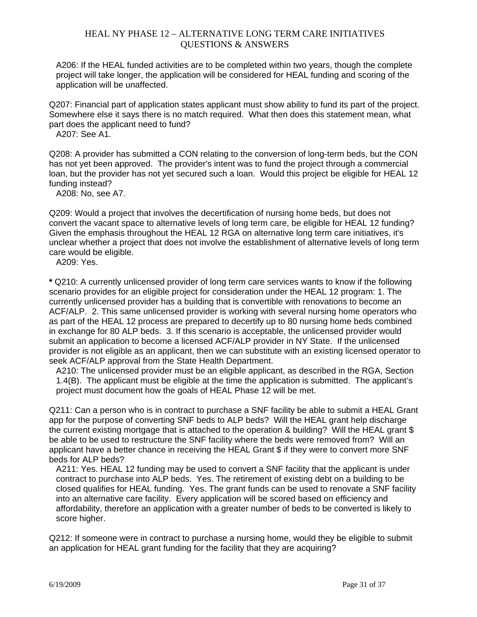A206: If the HEAL funded activities are to be completed within two years, though the complete project will take longer, the application will be considered for HEAL funding and scoring of the application will be unaffected.

Q207: Financial part of application states applicant must show ability to fund its part of the project. Somewhere else it says there is no match required. What then does this statement mean, what part does the applicant need to fund?

A207: See A1.

Q208: A provider has submitted a CON relating to the conversion of long-term beds, but the CON has not yet been approved. The provider's intent was to fund the project through a commercial loan, but the provider has not yet secured such a loan. Would this project be eligible for HEAL 12 funding instead?

A208: No, see A7.

Q209: Would a project that involves the decertification of nursing home beds, but does not convert the vacant space to alternative levels of long term care, be eligible for HEAL 12 funding? Given the emphasis throughout the HEAL 12 RGA on alternative long term care initiatives, it's unclear whether a project that does not involve the establishment of alternative levels of long term care would be eligible.

A209: Yes.

**\*** Q210: A currently unlicensed provider of long term care services wants to know if the following scenario provides for an eligible project for consideration under the HEAL 12 program: 1. The currently unlicensed provider has a building that is convertible with renovations to become an ACF/ALP. 2. This same unlicensed provider is working with several nursing home operators who as part of the HEAL 12 process are prepared to decertify up to 80 nursing home beds combined in exchange for 80 ALP beds. 3. If this scenario is acceptable, the unlicensed provider would submit an application to become a licensed ACF/ALP provider in NY State. If the unlicensed provider is not eligible as an applicant, then we can substitute with an existing licensed operator to seek ACF/ALP approval from the State Health Department.

A210: The unlicensed provider must be an eligible applicant, as described in the RGA, Section 1.4(B). The applicant must be eligible at the time the application is submitted. The applicant's project must document how the goals of HEAL Phase 12 will be met.

Q211: Can a person who is in contract to purchase a SNF facility be able to submit a HEAL Grant app for the purpose of converting SNF beds to ALP beds? Will the HEAL grant help discharge the current existing mortgage that is attached to the operation & building? Will the HEAL grant \$ be able to be used to restructure the SNF facility where the beds were removed from? Will an applicant have a better chance in receiving the HEAL Grant \$ if they were to convert more SNF beds for ALP beds?

A211: Yes. HEAL 12 funding may be used to convert a SNF facility that the applicant is under contract to purchase into ALP beds. Yes. The retirement of existing debt on a building to be closed qualifies for HEAL funding. Yes. The grant funds can be used to renovate a SNF facility into an alternative care facility. Every application will be scored based on efficiency and affordability, therefore an application with a greater number of beds to be converted is likely to score higher.

Q212: If someone were in contract to purchase a nursing home, would they be eligible to submit an application for HEAL grant funding for the facility that they are acquiring?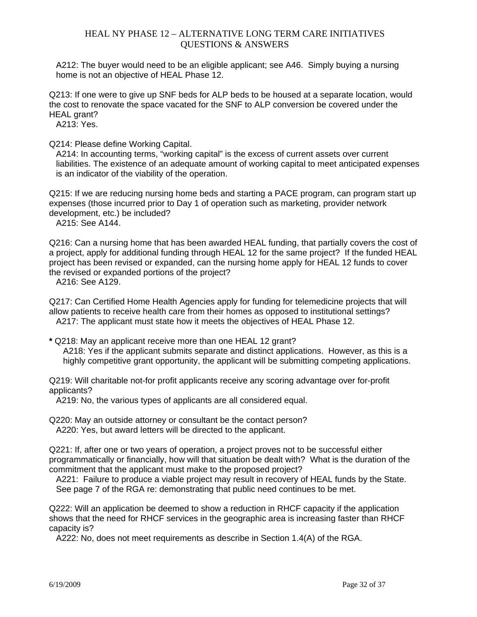A212: The buyer would need to be an eligible applicant; see A46. Simply buying a nursing home is not an objective of HEAL Phase 12.

Q213: If one were to give up SNF beds for ALP beds to be housed at a separate location, would the cost to renovate the space vacated for the SNF to ALP conversion be covered under the HEAL grant?

A213: Yes.

Q214: Please define Working Capital.

A214: In accounting terms, "working capital" is the excess of current assets over current liabilities. The existence of an adequate amount of working capital to meet anticipated expenses is an indicator of the viability of the operation.

Q215: If we are reducing nursing home beds and starting a PACE program, can program start up expenses (those incurred prior to Day 1 of operation such as marketing, provider network development, etc.) be included?

A215: See A144.

Q216: Can a nursing home that has been awarded HEAL funding, that partially covers the cost of a project, apply for additional funding through HEAL 12 for the same project? If the funded HEAL project has been revised or expanded, can the nursing home apply for HEAL 12 funds to cover the revised or expanded portions of the project?

A216: See A129.

Q217: Can Certified Home Health Agencies apply for funding for telemedicine projects that will allow patients to receive health care from their homes as opposed to institutional settings? A217: The applicant must state how it meets the objectives of HEAL Phase 12.

**\*** Q218: May an applicant receive more than one HEAL 12 grant? A218: Yes if the applicant submits separate and distinct applications. However, as this is a highly competitive grant opportunity, the applicant will be submitting competing applications.

Q219: Will charitable not-for profit applicants receive any scoring advantage over for-profit applicants?

A219: No, the various types of applicants are all considered equal.

Q220: May an outside attorney or consultant be the contact person? A220: Yes, but award letters will be directed to the applicant.

Q221: If, after one or two years of operation, a project proves not to be successful either programmatically or financially, how will that situation be dealt with? What is the duration of the commitment that the applicant must make to the proposed project?

A221: Failure to produce a viable project may result in recovery of HEAL funds by the State. See page 7 of the RGA re: demonstrating that public need continues to be met.

Q222: Will an application be deemed to show a reduction in RHCF capacity if the application shows that the need for RHCF services in the geographic area is increasing faster than RHCF capacity is?

A222: No, does not meet requirements as describe in Section 1.4(A) of the RGA.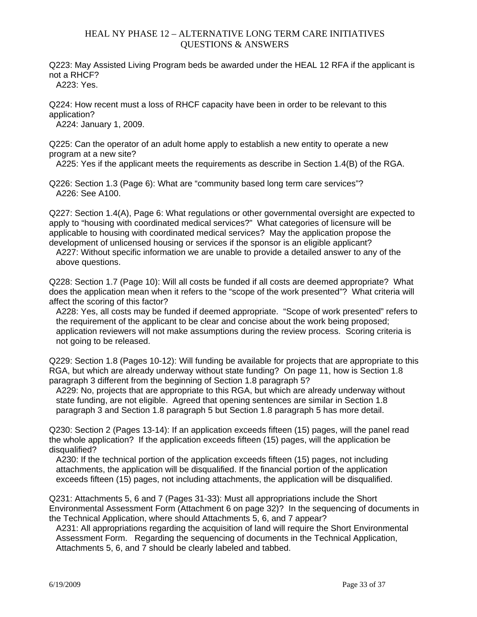Q223: May Assisted Living Program beds be awarded under the HEAL 12 RFA if the applicant is not a RHCF?

A223: Yes.

Q224: How recent must a loss of RHCF capacity have been in order to be relevant to this application?

A224: January 1, 2009.

Q225: Can the operator of an adult home apply to establish a new entity to operate a new program at a new site?

A225: Yes if the applicant meets the requirements as describe in Section 1.4(B) of the RGA.

Q226: Section 1.3 (Page 6): What are "community based long term care services"? A226: See A100.

Q227: Section 1.4(A), Page 6: What regulations or other governmental oversight are expected to apply to "housing with coordinated medical services?" What categories of licensure will be applicable to housing with coordinated medical services? May the application propose the development of unlicensed housing or services if the sponsor is an eligible applicant?

A227: Without specific information we are unable to provide a detailed answer to any of the above questions.

Q228: Section 1.7 (Page 10): Will all costs be funded if all costs are deemed appropriate? What does the application mean when it refers to the "scope of the work presented"? What criteria will affect the scoring of this factor?

A228: Yes, all costs may be funded if deemed appropriate. "Scope of work presented" refers to the requirement of the applicant to be clear and concise about the work being proposed; application reviewers will not make assumptions during the review process. Scoring criteria is not going to be released.

Q229: Section 1.8 (Pages 10-12): Will funding be available for projects that are appropriate to this RGA, but which are already underway without state funding? On page 11, how is Section 1.8 paragraph 3 different from the beginning of Section 1.8 paragraph 5?

A229: No, projects that are appropriate to this RGA, but which are already underway without state funding, are not eligible. Agreed that opening sentences are similar in Section 1.8 paragraph 3 and Section 1.8 paragraph 5 but Section 1.8 paragraph 5 has more detail.

Q230: Section 2 (Pages 13-14): If an application exceeds fifteen (15) pages, will the panel read the whole application? If the application exceeds fifteen (15) pages, will the application be disqualified?

A230: If the technical portion of the application exceeds fifteen (15) pages, not including attachments, the application will be disqualified. If the financial portion of the application exceeds fifteen (15) pages, not including attachments, the application will be disqualified.

Q231: Attachments 5, 6 and 7 (Pages 31-33): Must all appropriations include the Short Environmental Assessment Form (Attachment 6 on page 32)? In the sequencing of documents in the Technical Application, where should Attachments 5, 6, and 7 appear?

A231: All appropriations regarding the acquisition of land will require the Short Environmental Assessment Form. Regarding the sequencing of documents in the Technical Application, Attachments 5, 6, and 7 should be clearly labeled and tabbed.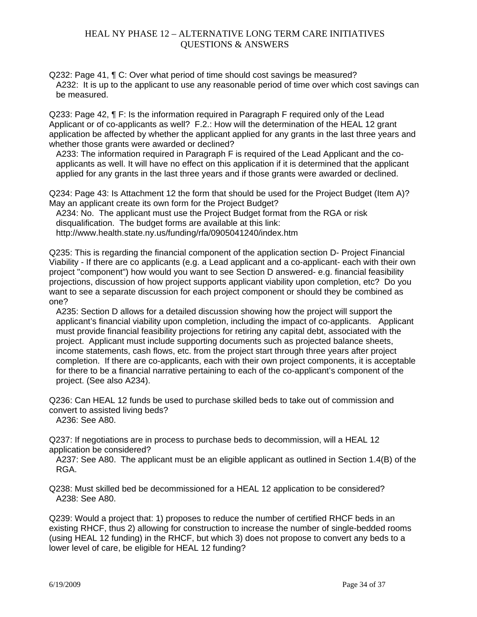Q232: Page 41, ¶ C: Over what period of time should cost savings be measured? A232: It is up to the applicant to use any reasonable period of time over which cost savings can be measured.

Q233: Page 42, ¶ F: Is the information required in Paragraph F required only of the Lead Applicant or of co-applicants as well? F.2.: How will the determination of the HEAL 12 grant application be affected by whether the applicant applied for any grants in the last three years and whether those grants were awarded or declined?

A233: The information required in Paragraph F is required of the Lead Applicant and the coapplicants as well. It will have no effect on this application if it is determined that the applicant applied for any grants in the last three years and if those grants were awarded or declined.

Q234: Page 43: Is Attachment 12 the form that should be used for the Project Budget (Item A)? May an applicant create its own form for the Project Budget?

A234: No. The applicant must use the Project Budget format from the RGA or risk disqualification. The budget forms are available at this link: http://www.health.state.ny.us/funding/rfa/0905041240/index.htm

Q235: This is regarding the financial component of the application section D- Project Financial Viability - If there are co applicants (e.g. a Lead applicant and a co-applicant- each with their own project "component") how would you want to see Section D answered- e.g. financial feasibility projections, discussion of how project supports applicant viability upon completion, etc? Do you want to see a separate discussion for each project component or should they be combined as one?

A235: Section D allows for a detailed discussion showing how the project will support the applicant's financial viability upon completion, including the impact of co-applicants. Applicant must provide financial feasibility projections for retiring any capital debt, associated with the project. Applicant must include supporting documents such as projected balance sheets, income statements, cash flows, etc. from the project start through three years after project completion. If there are co-applicants, each with their own project components, it is acceptable for there to be a financial narrative pertaining to each of the co-applicant's component of the project. (See also A234).

Q236: Can HEAL 12 funds be used to purchase skilled beds to take out of commission and convert to assisted living beds?

A236: See A80.

Q237: If negotiations are in process to purchase beds to decommission, will a HEAL 12 application be considered?

A237: See A80. The applicant must be an eligible applicant as outlined in Section 1.4(B) of the RGA.

Q238: Must skilled bed be decommissioned for a HEAL 12 application to be considered? A238: See A80.

Q239: Would a project that: 1) proposes to reduce the number of certified RHCF beds in an existing RHCF, thus 2) allowing for construction to increase the number of single-bedded rooms (using HEAL 12 funding) in the RHCF, but which 3) does not propose to convert any beds to a lower level of care, be eligible for HEAL 12 funding?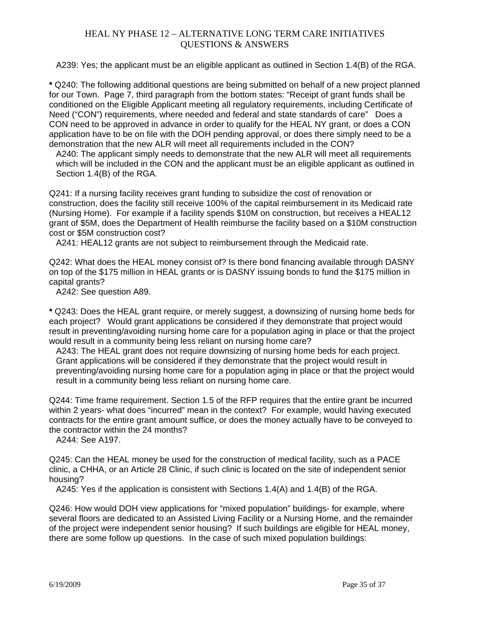A239: Yes; the applicant must be an eligible applicant as outlined in Section 1.4(B) of the RGA.

**\*** Q240: The following additional questions are being submitted on behalf of a new project planned for our Town. Page 7, third paragraph from the bottom states: "Receipt of grant funds shall be conditioned on the Eligible Applicant meeting all regulatory requirements, including Certificate of Need ("CON") requirements, where needed and federal and state standards of care" Does a CON need to be approved in advance in order to qualify for the HEAL NY grant, or does a CON application have to be on file with the DOH pending approval, or does there simply need to be a demonstration that the new ALR will meet all requirements included in the CON?

A240: The applicant simply needs to demonstrate that the new ALR will meet all requirements which will be included in the CON and the applicant must be an eligible applicant as outlined in Section 1.4(B) of the RGA.

Q241: If a nursing facility receives grant funding to subsidize the cost of renovation or construction, does the facility still receive 100% of the capital reimbursement in its Medicaid rate (Nursing Home). For example if a facility spends \$10M on construction, but receives a HEAL12 grant of \$5M, does the Department of Health reimburse the facility based on a \$10M construction cost or \$5M construction cost?

A241: HEAL12 grants are not subject to reimbursement through the Medicaid rate.

Q242: What does the HEAL money consist of? Is there bond financing available through DASNY on top of the \$175 million in HEAL grants or is DASNY issuing bonds to fund the \$175 million in capital grants?

A242: See question A89.

**\*** Q243: Does the HEAL grant require, or merely suggest, a downsizing of nursing home beds for each project? Would grant applications be considered if they demonstrate that project would result in preventing/avoiding nursing home care for a population aging in place or that the project would result in a community being less reliant on nursing home care?

A243: The HEAL grant does not require downsizing of nursing home beds for each project. Grant applications will be considered if they demonstrate that the project would result in preventing/avoiding nursing home care for a population aging in place or that the project would result in a community being less reliant on nursing home care.

Q244: Time frame requirement. Section 1.5 of the RFP requires that the entire grant be incurred within 2 years- what does "incurred" mean in the context? For example, would having executed contracts for the entire grant amount suffice, or does the money actually have to be conveyed to the contractor within the 24 months?

A244: See A197.

Q245: Can the HEAL money be used for the construction of medical facility, such as a PACE clinic, a CHHA, or an Article 28 Clinic, if such clinic is located on the site of independent senior housing?

A245: Yes if the application is consistent with Sections 1.4(A) and 1.4(B) of the RGA.

Q246: How would DOH view applications for "mixed population" buildings- for example, where several floors are dedicated to an Assisted Living Facility or a Nursing Home, and the remainder of the project were independent senior housing? If such buildings are eligible for HEAL money, there are some follow up questions. In the case of such mixed population buildings: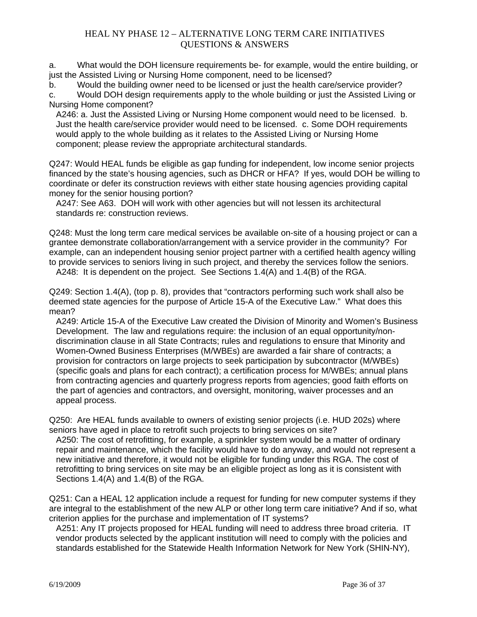a. What would the DOH licensure requirements be- for example, would the entire building, or just the Assisted Living or Nursing Home component, need to be licensed?

b. Would the building owner need to be licensed or just the health care/service provider?

c. Would DOH design requirements apply to the whole building or just the Assisted Living or Nursing Home component?

A246: a. Just the Assisted Living or Nursing Home component would need to be licensed. b. Just the health care/service provider would need to be licensed. c. Some DOH requirements would apply to the whole building as it relates to the Assisted Living or Nursing Home component; please review the appropriate architectural standards.

Q247: Would HEAL funds be eligible as gap funding for independent, low income senior projects financed by the state's housing agencies, such as DHCR or HFA? If yes, would DOH be willing to coordinate or defer its construction reviews with either state housing agencies providing capital money for the senior housing portion?

A247: See A63. DOH will work with other agencies but will not lessen its architectural standards re: construction reviews.

Q248: Must the long term care medical services be available on-site of a housing project or can a grantee demonstrate collaboration/arrangement with a service provider in the community? For example, can an independent housing senior project partner with a certified health agency willing to provide services to seniors living in such project, and thereby the services follow the seniors. A248: It is dependent on the project. See Sections 1.4(A) and 1.4(B) of the RGA.

Q249: Section 1.4(A), (top p. 8), provides that "contractors performing such work shall also be

deemed state agencies for the purpose of Article 15-A of the Executive Law." What does this mean?

A249: Article 15-A of the Executive Law created the Division of Minority and Women's Business Development. The law and regulations require: the inclusion of an equal opportunity/nondiscrimination clause in all State Contracts; rules and regulations to ensure that Minority and Women-Owned Business Enterprises (M/WBEs) are awarded a fair share of contracts; a provision for contractors on large projects to seek participation by subcontractor (M/WBEs) (specific goals and plans for each contract); a certification process for M/WBEs; annual plans from contracting agencies and quarterly progress reports from agencies; good faith efforts on the part of agencies and contractors, and oversight, monitoring, waiver processes and an appeal process.

Q250: Are HEAL funds available to owners of existing senior projects (i.e. HUD 202s) where seniors have aged in place to retrofit such projects to bring services on site?

A250: The cost of retrofitting, for example, a sprinkler system would be a matter of ordinary repair and maintenance, which the facility would have to do anyway, and would not represent a new initiative and therefore, it would not be eligible for funding under this RGA. The cost of retrofitting to bring services on site may be an eligible project as long as it is consistent with Sections 1.4(A) and 1.4(B) of the RGA.

Q251: Can a HEAL 12 application include a request for funding for new computer systems if they are integral to the establishment of the new ALP or other long term care initiative? And if so, what criterion applies for the purchase and implementation of IT systems?

A251: Any IT projects proposed for HEAL funding will need to address three broad criteria. IT vendor products selected by the applicant institution will need to comply with the policies and standards established for the Statewide Health Information Network for New York (SHIN-NY),